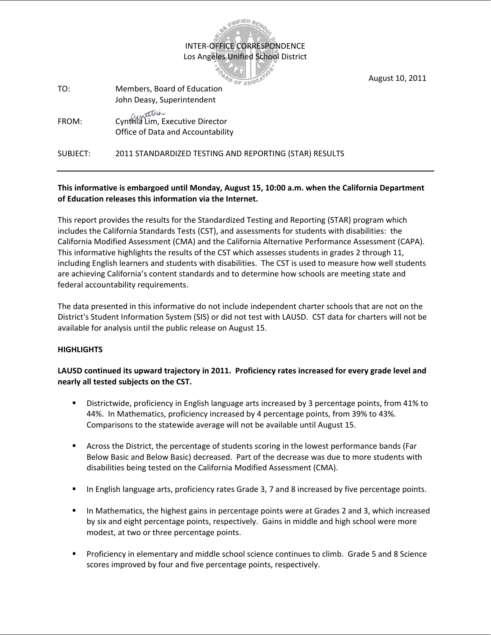INTER-OFFICE CORRESPONDENCE Los Angeles Unified School District

OF PRID

**B. CELAND** 

August 10, 2011

| TO:      | Members, Board of Education<br>John Deasy, Superintendent            |
|----------|----------------------------------------------------------------------|
| FROM:    | Cynthia Lim, Executive Director<br>Office of Data and Accountability |
| SUBJECT: | 2011 STANDARDIZED TESTING AND REPORTING (STAR) RESULTS               |

## **This informative is embargoed until Monday, August 15, 10:00 a.m. when the California Department of Education releases this information via the Internet.**

This report provides the results for the Standardized Testing and Reporting (STAR) program which includes the California Standards Tests (CST), and assessments for students with disabilities: the California Modified Assessment (CMA) and the California Alternative Performance Assessment (CAPA). This informative highlights the results of the CST which assesses students in grades 2 through 11, including English learners and students with disabilities. The CST is used to measure how well students are achieving California's content standards and to determine how schools are meeting state and federal accountability requirements.

The data presented in this informative do not include independent charter schools that are not on the District's Student Information System (SIS) or did not test with LAUSD. CST data for charters will not be available for analysis until the public release on August 15.

## **HIGHLIGHTS**

## **LAUSD continued its upward trajectory in 2011. Proficiency rates increased for every grade level and nearly all tested subjects on the CST.**

- Districtwide, proficiency in English language arts increased by 3 percentage points, from 41% to 44%. In Mathematics, proficiency increased by 4 percentage points, from 39% to 43%. Comparisons to the statewide average will not be available until August 15.
- Across the District, the percentage of students scoring in the lowest performance bands (Far Below Basic and Below Basic) decreased. Part of the decrease was due to more students with disabilities being tested on the California Modified Assessment (CMA).
- In English language arts, proficiency rates Grade 3, 7 and 8 increased by five percentage points.
- **IF In Mathematics, the highest gains in percentage points were at Grades 2 and 3, which increased** by six and eight percentage points, respectively. Gains in middle and high school were more modest, at two or three percentage points.
- Proficiency in elementary and middle school science continues to climb. Grade 5 and 8 Science scores improved by four and five percentage points, respectively.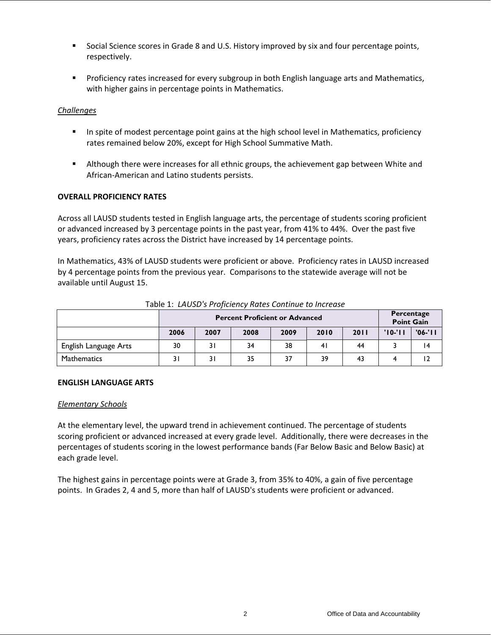- Social Science scores in Grade 8 and U.S. History improved by six and four percentage points, respectively.
- **Proficiency rates increased for every subgroup in both English language arts and Mathematics,** with higher gains in percentage points in Mathematics.

## *Challenges*

- **IF In spite of modest percentage point gains at the high school level in Mathematics, proficiency** rates remained below 20%, except for High School Summative Math.
- Although there were increases for all ethnic groups, the achievement gap between White and African-American and Latino students persists.

## **OVERALL PROFICIENCY RATES**

Across all LAUSD students tested in English language arts, the percentage of students scoring proficient or advanced increased by 3 percentage points in the past year, from 41% to 44%. Over the past five years, proficiency rates across the District have increased by 14 percentage points.

In Mathematics, 43% of LAUSD students were proficient or above. Proficiency rates in LAUSD increased by 4 percentage points from the previous year. Comparisons to the statewide average will not be available until August 15.

|                       |      |                            | <b>Percent Proficient or Advanced</b> |      |      |      | Percentage<br><b>Point Gain</b> |           |  |  |  |
|-----------------------|------|----------------------------|---------------------------------------|------|------|------|---------------------------------|-----------|--|--|--|
|                       | 2006 | 2007                       | 2008                                  | 2009 | 2010 | 2011 | $'10-'11$                       | $'06-'11$ |  |  |  |
| English Language Arts | 30   | 31                         | 34                                    | 38   | 41   | 44   |                                 | 14        |  |  |  |
| <b>Mathematics</b>    |      | 35<br>39<br>37<br>31<br>43 |                                       |      |      |      |                                 |           |  |  |  |

### Table 1: *LAUSD's Proficiency Rates Continue to Increase*

### **ENGLISH LANGUAGE ARTS**

### *Elementary Schools*

At the elementary level, the upward trend in achievement continued. The percentage of students scoring proficient or advanced increased at every grade level. Additionally, there were decreases in the percentages of students scoring in the lowest performance bands (Far Below Basic and Below Basic) at each grade level.

The highest gains in percentage points were at Grade 3, from 35% to 40%, a gain of five percentage points. In Grades 2, 4 and 5, more than half of LAUSD's students were proficient or advanced.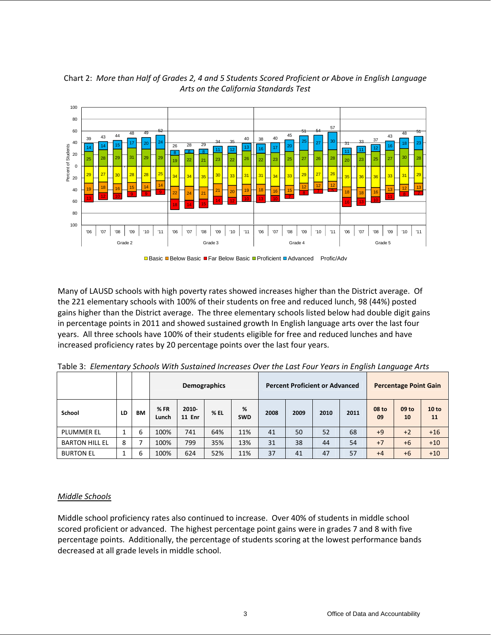

Chart 2: *More than Half of Grades 2, 4 and 5 Students Scored Proficient or Above in English Language Arts on the California Standards Test*



Many of LAUSD schools with high poverty rates showed increases higher than the District average. Of the 221 elementary schools with 100% of their students on free and reduced lunch, 98 (44%) posted gains higher than the District average. The three elementary schools listed below had double digit gains in percentage points in 2011 and showed sustained growth In English language arts over the last four years. All three schools have 100% of their students eligible for free and reduced lunches and have increased proficiency rates by 20 percentage points over the last four years.

|                       |    |           |              |                        | <b>Demographics</b> |                 | <b>Percent Proficient or Advanced</b> |      |      |      | <b>Percentage Point Gain</b> |             |             |  |
|-----------------------|----|-----------|--------------|------------------------|---------------------|-----------------|---------------------------------------|------|------|------|------------------------------|-------------|-------------|--|
| School                | LD | <b>BM</b> | %FR<br>Lunch | 2010-<br><b>11 Enr</b> | $%$ EL              | %<br><b>SWD</b> | 2008                                  | 2009 | 2010 | 2011 | 08 to<br>09                  | 09 to<br>10 | 10 to<br>11 |  |
| <b>PLUMMER EL</b>     |    | 6         | 100%         | 741                    | 64%                 | 11%             | 41                                    | 50   | 52   | 68   | $+9$                         | $+2$        | $+16$       |  |
| <b>BARTON HILL EL</b> | 8  | ⇁         | 100%         | 799                    | 35%                 | 13%             | 31                                    | 38   | 44   | 54   | $+7$                         | $+6$        | $+10$       |  |
| <b>BURTON EL</b>      |    | 6         | 100%         | 624                    | 52%                 | 11%             | 37                                    | 41   | 47   | 57   | $+4$                         | $+6$        | $+10$       |  |

Table 3: *Elementary Schools With Sustained Increases Over the Last Four Years in English Language Arts* 

## *Middle Schools*

Middle school proficiency rates also continued to increase. Over 40% of students in middle school scored proficient or advanced. The highest percentage point gains were in grades 7 and 8 with five percentage points. Additionally, the percentage of students scoring at the lowest performance bands decreased at all grade levels in middle school.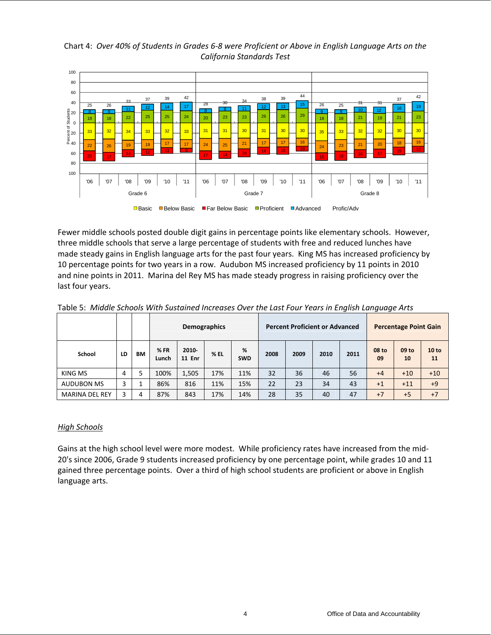Chart 4: *Over 40% of Students in Grades 6-8 were Proficient or Above in English Language Arts on the California Standards Test* 



Fewer middle schools posted double digit gains in percentage points like elementary schools. However, three middle schools that serve a large percentage of students with free and reduced lunches have made steady gains in English language arts for the past four years. King MS has increased proficiency by 10 percentage points for two years in a row. Audubon MS increased proficiency by 11 points in 2010 and nine points in 2011. Marina del Rey MS has made steady progress in raising proficiency over the last four years.

|                       |    |    |              | Demographics           |      |                 | <b>Percent Proficient or Advanced</b> |      |      |      | <b>Percentage Point Gain</b> |             |             |  |
|-----------------------|----|----|--------------|------------------------|------|-----------------|---------------------------------------|------|------|------|------------------------------|-------------|-------------|--|
| School                | LD | BМ | %FR<br>Lunch | 2010-<br><b>11 Enr</b> | % EL | %<br><b>SWD</b> | 2008                                  | 2009 | 2010 | 2011 | 08 to<br>09                  | 09 to<br>10 | 10 to<br>11 |  |
| KING MS               | 4  | 5  | 100%         | 1,505                  | 17%  | 11%             | 32                                    | 36   | 46   | 56   | $+4$                         | $+10$       | $+10$       |  |
| <b>AUDUBON MS</b>     | 3  |    | 86%          | 816                    | 11%  | 15%             | 22                                    | 23   | 34   | 43   | $+1$                         | $+11$       | $+9$        |  |
| <b>MARINA DEL REY</b> | 3  | 4  | 87%          | 843                    | 17%  | 14%             | 28                                    | 35   | 40   | 47   | $+7$                         | $+5$        | $+7$        |  |

Table 5: *Middle Schools With Sustained Increases Over the Last Four Years in English Language Arts* 

## *High Schools*

Gains at the high school level were more modest. While proficiency rates have increased from the mid-20's since 2006, Grade 9 students increased proficiency by one percentage point, while grades 10 and 11 gained three percentage points. Over a third of high school students are proficient or above in English language arts.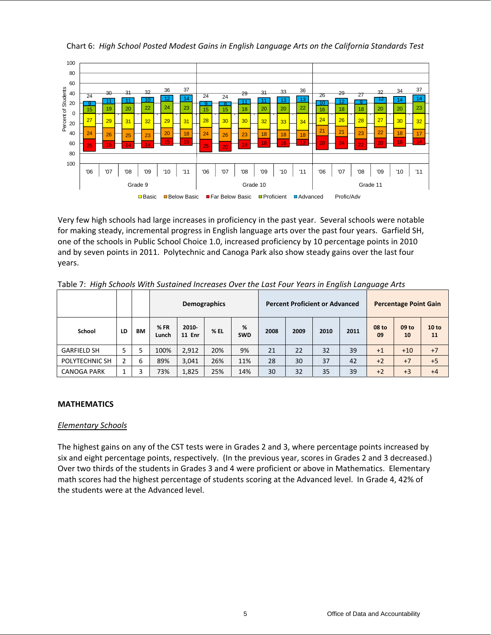

Chart 6: *High School Posted Modest Gains in English Language Arts on the California Standards Test* 

Very few high schools had large increases in proficiency in the past year. Several schools were notable for making steady, incremental progress in English language arts over the past four years. Garfield SH, one of the schools in Public School Choice 1.0, increased proficiency by 10 percentage points in 2010 and by seven points in 2011. Polytechnic and Canoga Park also show steady gains over the last four years.

| $\tilde{\phantom{a}}$ |    |           |              |                        | <b>Demographics</b> |                 |      | <b>Percent Proficient or Advanced</b> | $\tilde{\phantom{a}}$ |      |             | <b>Percentage Point Gain</b> |             |
|-----------------------|----|-----------|--------------|------------------------|---------------------|-----------------|------|---------------------------------------|-----------------------|------|-------------|------------------------------|-------------|
| School                | LD | <b>BM</b> | %FR<br>Lunch | 2010-<br><b>11 Enr</b> | % EL                | %<br><b>SWD</b> | 2008 | 2009                                  | 2010                  | 2011 | 08 to<br>09 | 09 to<br>10                  | 10 to<br>11 |
| <b>GARFIELD SH</b>    | 5  | 5         | 100%         | 2,912                  | 20%                 | 9%              | 21   | 22                                    | 32                    | 39   | $+1$        | $+10$                        | $+7$        |
| POLYTECHNIC SH        | 2  | 6         | 89%          | 3,041                  | 26%                 | 11%             | 28   | 30                                    | 37                    | 42   | $+2$        | $+7$                         | $+5$        |
| <b>CANOGA PARK</b>    |    | 3         | 73%          | 1,825                  | 25%                 | 14%             | 30   | 32                                    | 35                    | 39   | $+2$        | $+3$                         | $+4$        |

Table 7: *High Schools With Sustained Increases Over the Last Four Years in English Language Arts* 

## **MATHEMATICS**

### *Elementary Schools*

The highest gains on any of the CST tests were in Grades 2 and 3, where percentage points increased by six and eight percentage points, respectively. (In the previous year, scores in Grades 2 and 3 decreased.) Over two thirds of the students in Grades 3 and 4 were proficient or above in Mathematics. Elementary math scores had the highest percentage of students scoring at the Advanced level. In Grade 4, 42% of the students were at the Advanced level.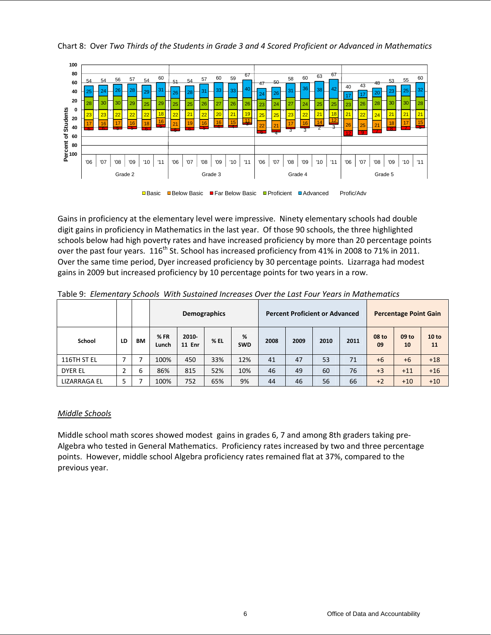

Chart 8: Over *Two Thirds of the Students in Grade 3 and 4 Scored Proficient or Advanced in Mathematics* 

Gains in proficiency at the elementary level were impressive. Ninety elementary schools had double digit gains in proficiency in Mathematics in the last year. Of those 90 schools, the three highlighted schools below had high poverty rates and have increased proficiency by more than 20 percentage points over the past four years.  $116^{th}$  St. School has increased proficiency from 41% in 2008 to 71% in 2011. Over the same time period, Dyer increased proficiency by 30 percentage points. Lizarraga had modest gains in 2009 but increased proficiency by 10 percentage points for two years in a row.

|                |        |    |              |                       | <b>Demographics</b> |                 | <b>Percent Proficient or Advanced</b> |      |      |      | <b>Percentage Point Gain</b> |             |             |  |
|----------------|--------|----|--------------|-----------------------|---------------------|-----------------|---------------------------------------|------|------|------|------------------------------|-------------|-------------|--|
| School         | LD     | ВM | %FR<br>Lunch | 2010<br><b>11 Enr</b> | % EL                | %<br><b>SWD</b> | 2008                                  | 2009 | 2010 | 2011 | 08 to<br>09                  | 09 to<br>10 | 10 to<br>11 |  |
| 116TH ST EL    | –      |    | 100%         | 450                   | 33%                 | 12%             | 41                                    | 47   | 53   | 71   | $+6$                         | $+6$        | $+18$       |  |
| <b>DYER EL</b> | h<br>∠ | 6  | 86%          | 815                   | 52%                 | 10%             | 46                                    | 49   | 60   | 76   | $+3$                         | $+11$       | $+16$       |  |
| LIZARRAGA EL   |        |    | 100%         | 752                   | 65%                 | 9%              | 44                                    | 46   | 56   | 66   | $+2$                         | $+10$       | $+10$       |  |

Table 9: *Elementary Schools With Sustained Increases Over the Last Four Years in Mathematics* 

## *Middle Schools*

Middle school math scores showed modest gains in grades 6, 7 and among 8th graders taking pre-Algebra who tested in General Mathematics. Proficiency rates increased by two and three percentage points. However, middle school Algebra proficiency rates remained flat at 37%, compared to the previous year.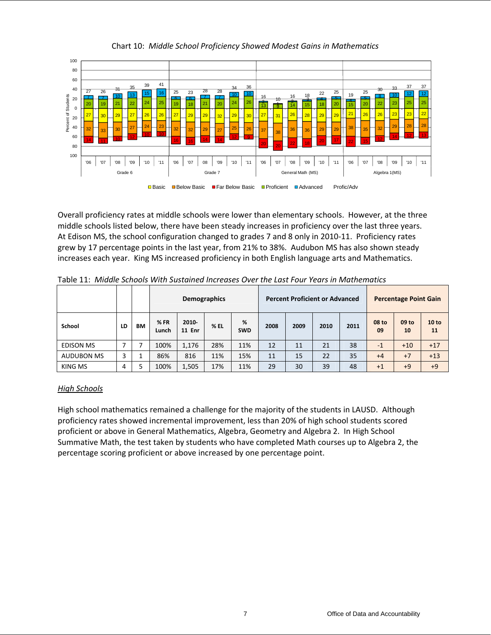

Chart 10: *Middle School Proficiency Showed Modest Gains in Mathematics*

Overall proficiency rates at middle schools were lower than elementary schools. However, at the three middle schools listed below, there have been steady increases in proficiency over the last three years. At Edison MS, the school configuration changed to grades 7 and 8 only in 2010-11. Proficiency rates grew by 17 percentage points in the last year, from 21% to 38%. Audubon MS has also shown steady increases each year. King MS increased proficiency in both English language arts and Mathematics.

|                   |    |           |       | <b>Demographics</b><br>%<br>%FR<br>2010- |      |            | <b>Percent Proficient or Advanced</b> |      |      |      | <b>Percentage Point Gain</b> |             |                    |  |
|-------------------|----|-----------|-------|------------------------------------------|------|------------|---------------------------------------|------|------|------|------------------------------|-------------|--------------------|--|
| School            | LD | <b>BM</b> | Lunch | <b>11 Enr</b>                            | % EL | <b>SWD</b> | 2008                                  | 2009 | 2010 | 2011 | 08 to<br>09                  | 09 to<br>10 | <b>10 to</b><br>11 |  |
| <b>EDISON MS</b>  |    | -         | 100%  | 1,176                                    | 28%  | 11%        | 12                                    | 11   | 21   | 38   | $-1$                         | $+10$       | $+17$              |  |
| <b>AUDUBON MS</b> |    |           | 86%   | 816                                      | 11%  | 15%        | 11                                    | 15   | 22   | 35   | $+4$                         | $+7$        | $+13$              |  |
| KING MS           | 4  | 5         | 100%  | 1,505                                    | 17%  | 11%        | 29                                    | 30   | 39   | 48   | $+1$                         | $+9$        | $+9$               |  |

Table 11: *Middle Schools With Sustained Increases Over the Last Four Years in Mathematics* 

## *High Schools*

High school mathematics remained a challenge for the majority of the students in LAUSD. Although proficiency rates showed incremental improvement, less than 20% of high school students scored proficient or above in General Mathematics, Algebra, Geometry and Algebra 2. In High School Summative Math, the test taken by students who have completed Math courses up to Algebra 2, the percentage scoring proficient or above increased by one percentage point.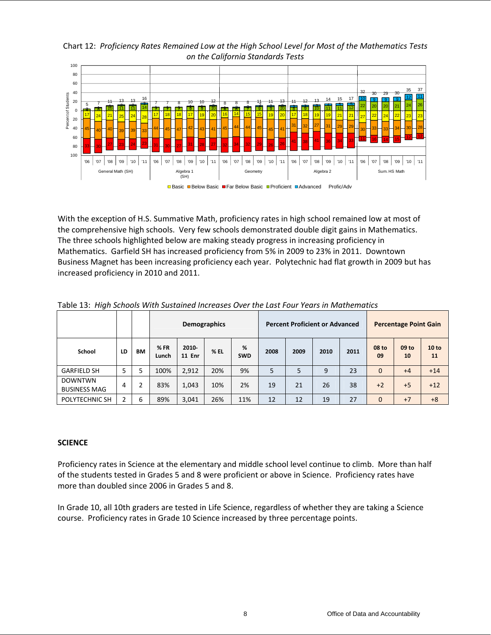*on the California Standards Tests* 100 80 60  $\frac{32}{30}$   $\frac{29}{30}$   $\frac{35}{30}$   $\frac{37}{30}$ 40 Percent of Students Percent of Students 10 <u>9 9 9 12 11</u> 20 <sup>5</sup> <sup>7</sup> <sup>11</sup> 13 13 <sup>16</sup> <sup>778</sup> 10 10 <sup>12</sup> <sup>8</sup> <sup>8</sup> <sup>8</sup> 11 11 <sup>13</sup> <sup>11</sup> <sup>12</sup> <sup>13</sup> <sup>14</sup> <sup>15</sup> <sup>17</sup> 5 7 10 1<mark>6 16 16 17 14 15 15 16 17 16 16 16 16 17 16 17 17 17 17 17 17 17 17 18 1</mark>2 2 20 20 21 24 <sup>26</sup> 0 <mark>17</mark> 24 21 25 24 28 17 18 18 17 20 16 17 20 17 19 20 1<mark>16 14 15 15 16 19 20 17 18 19 19 21 21 21 27 22 24 23 23</mark> 20 45 - <sub>40</sub> - 40 - 39 - 39 - 33 - 44 - 45 - 47 - 42 - 43 - 41 - 45 - <sup>44</sup> - <sup>44</sup> - <sup>44</sup> - <sup>45</sup> - 45 - 41 - <sup>31</sup> - <sup>32</sup> - <sup>32</sup> - <sup>31</sup> - <sup>32</sup> - <sup>32</sup> - <sup>32</sup> - <sup>33</sup> - 33 - 34 - 30 - <sup>32</sup> 40 60 <sup>33</sup> <sup>30</sup> <sup>27</sup> <sup>23</sup> <sup>24</sup> <sup>23</sup> <sup>31</sup> <sup>30</sup> <sup>27</sup> <sup>31</sup> <sup>28</sup> <sup>27</sup> <sup>32</sup> 34 32 <sup>29</sup> <sup>26</sup> <sup>26</sup> <sup>41</sup> <sup>38</sup> <sup>41</sup> <sup>36</sup> <sup>34</sup> <sup>33</sup> <sup>11</sup> <sup>16</sup> <sup>14</sup> <sup>15</sup> <sup>12</sup> <sup>12</sup> 80 100 11 | 06 '07 | 08 '07 | 08 '09 '10 | 11 | 06 '09 | 11 | 06 '08 | 07 | 08 '09 | 11 | 06 | 07 | 08 '09 | 11 | 06 '08 '09 | 07 | 08 '10 | 07 | 08 '10 | 07 | 08 ' General Math (SH) Geometry **Algebra 2** Algebra 2 Sum. HS Math Algebra<br>(SH) ■ Basic ■ Below Basic ■ Far Below Basic ■ Proficient ■ Advanced Profic/Adv

Chart 12: *Proficiency Rates Remained Low at the High School Level for Most of the Mathematics Tests* 

With the exception of H.S. Summative Math, proficiency rates in high school remained low at most of the comprehensive high schools. Very few schools demonstrated double digit gains in Mathematics. The three schools highlighted below are making steady progress in increasing proficiency in Mathematics. Garfield SH has increased proficiency from 5% in 2009 to 23% in 2011. Downtown Business Magnet has been increasing proficiency each year. Polytechnic had flat growth in 2009 but has increased proficiency in 2010 and 2011.

|                                       |    |           |              |                           | <b>Demographics</b> |                 | <b>Percent Proficient or Advanced</b> |      |      |      | <b>Percentage Point Gain</b> |             |                    |  |
|---------------------------------------|----|-----------|--------------|---------------------------|---------------------|-----------------|---------------------------------------|------|------|------|------------------------------|-------------|--------------------|--|
| School                                | LD | <b>BM</b> | %FR<br>Lunch | $2010 -$<br><b>11 Enr</b> | $%$ EL              | %<br><b>SWD</b> | 2008                                  | 2009 | 2010 | 2011 | 08 to<br>09                  | 09 to<br>10 | <b>10 to</b><br>11 |  |
| <b>GARFIELD SH</b>                    | 5  | 5         | 100%         | 2,912                     | 20%                 | 9%              | 5                                     | 5    | 9    | 23   | $\mathbf{0}$                 | $+4$        | $+14$              |  |
| <b>DOWNTWN</b><br><b>BUSINESS MAG</b> | 4  | ว         | 83%          | 1,043                     | 10%                 | 2%              | 19                                    | 21   | 26   | 38   | $+2$                         | $+5$        | $+12$              |  |
| POLYTECHNIC SH                        | J. | 6         | 89%          | 3,041                     | 26%                 | 11%             | 12                                    | 12   | 19   | 27   | $\mathbf{0}$                 | $+7$        | $+8$               |  |

Table 13: *High Schools With Sustained Increases Over the Last Four Years in Mathematics* 

# **SCIENCE**

Proficiency rates in Science at the elementary and middle school level continue to climb. More than half of the students tested in Grades 5 and 8 were proficient or above in Science. Proficiency rates have more than doubled since 2006 in Grades 5 and 8.

In Grade 10, all 10th graders are tested in Life Science, regardless of whether they are taking a Science course. Proficiency rates in Grade 10 Science increased by three percentage points.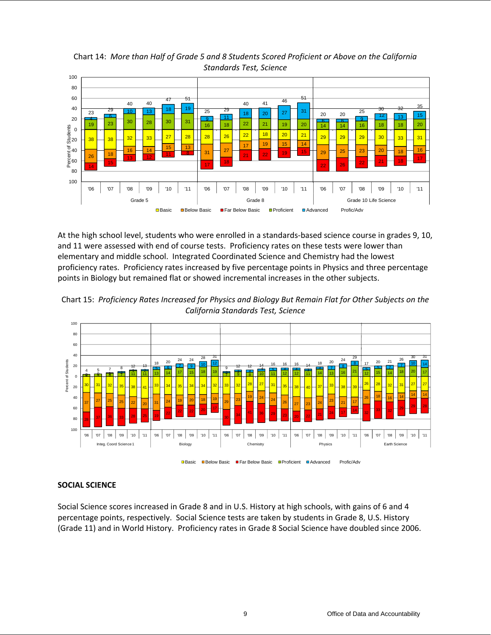38 38 <sup>32</sup> <sup>33</sup> <sup>27</sup> 28 28 <sup>26</sup> <sup>22</sup> <sup>18</sup> <sup>20</sup> <sup>21</sup> 29 29 29 <sup>30</sup> <sup>33</sup> <sup>31</sup> <u>26 18 13 14 15 14 15 16 17 17 19 15 14</u><br>26 18 13 13 13 14 15 31 27 27 22 19 15 29 **25 23 20 18 20**  $\begin{array}{|c|c|c|c|c|}\hline \rule{0pt}{1em} 18 & \rule{0pt}{11} & \rule{0pt}{11} \ \hline \rule{0pt}{1em} 14 & \rule{0pt}{11} & \rule{0pt}{11} \ \hline \rule{0pt}{1em} 15 & \rule{0pt}{11} & \rule{0pt}{11} \ \hline \rule{0pt}{1em} 14 & \rule{0pt}{11} & \rule{0pt}{11} \ \hline \rule{0pt}{1em} 14 & \rule{0pt}{11} & \rule{0pt}{11} \ \hline \rule{0pt}{1em} 14 & \rule{0pt}{11$ <sup>17</sup> <sup>18</sup>  $\overline{21}$   $\overline{22}$   $\overline{10}$   $\overline{19}$   $\overline{115}$  $\frac{1}{22}$   $\frac{1}{26}$   $\frac{1}{22}$   $\frac{1}{21}$   $\frac{1}{21}$   $\frac{1}{18}$   $\frac{17}{17}$ 19 23 30 28 30 31 16 18 22 21 19 20 1<sup>6</sup> 14 14 16 18 18 20  $\frac{23}{4}$   $\begin{array}{|c|c|c|c|c|c|}\n\hline\n43 & 18 & 19 \\
\hline\n44 & 6 & 0 & 13 \\
\hline\n25 & 0 & 1 & 0 & 0\n\end{array}$  $\frac{25}{9}$  11 18 20 27 31 6 6 <sup>9</sup> <sup>12</sup> <sup>13</sup> <sup>15</sup> <sup>23</sup> <sup>29</sup>  $40 \t 47 \t 51$  $\frac{25}{25}$   $\frac{25}{11}$  $40 \t 41 \t 46 \t 51$  $\frac{30}{20}$   $\frac{25}{121}$   $\frac{30}{121}$   $\frac{35}{15}$ 100 80  $\frac{1}{6}$ 60<br> $\frac{6}{6}$ 60  $\mathbf{5}_{40}$ 20 0 20 40 60 80 100 '06 | '07 | '08 | '09 | '09 | '11 | '06 | '07 | '08 | '09 | '10 | '11 | '06 | '07 | '08 | '09 | '10 Grade 5 Grade 10 Life Science Creater and Grade 8 Grade 10 Life Science Percent of Students **□Basic ■Below Basic ■Far Below Basic ■Proficient ■Advanced Profic/Adv** 

Chart 14: *More than Half of Grade 5 and 8 Students Scored Proficient or Above on the California Standards Test, Science*

At the high school level, students who were enrolled in a standards-based science course in grades 9, 10, and 11 were assessed with end of course tests. Proficiency rates on these tests were lower than elementary and middle school. Integrated Coordinated Science and Chemistry had the lowest proficiency rates. Proficiency rates increased by five percentage points in Physics and three percentage points in Biology but remained flat or showed incremental increases in the other subjects.





■Basic ■Below Basic ■Far Below Basic ■Proficient ■Advanced Profic/Adv

# **SOCIAL SCIENCE**

Social Science scores increased in Grade 8 and in U.S. History at high schools, with gains of 6 and 4 percentage points, respectively. Social Science tests are taken by students in Grade 8, U.S. History (Grade 11) and in World History. Proficiency rates in Grade 8 Social Science have doubled since 2006.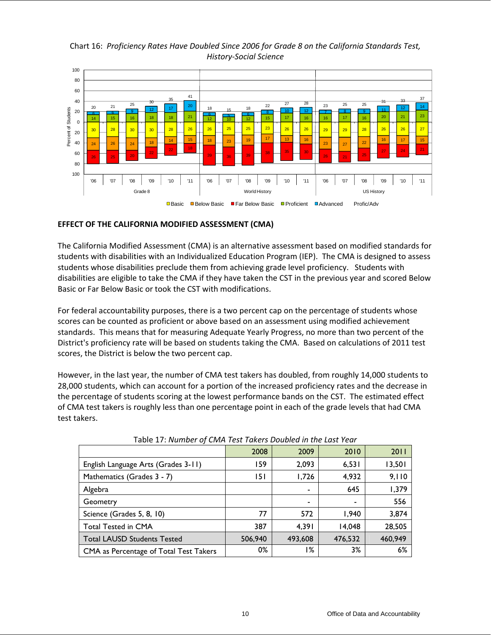Chart 16: *Proficiency Rates Have Doubled Since 2006 for Grade 8 on the California Standards Test, History-Social Science*



## **EFFECT OF THE CALIFORNIA MODIFIED ASSESSMENT (CMA)**

The California Modified Assessment (CMA) is an alternative assessment based on modified standards for students with disabilities with an Individualized Education Program (IEP). The CMA is designed to assess students whose disabilities preclude them from achieving grade level proficiency. Students with disabilities are eligible to take the CMA if they have taken the CST in the previous year and scored Below Basic or Far Below Basic or took the CST with modifications.

For federal accountability purposes, there is a two percent cap on the percentage of students whose scores can be counted as proficient or above based on an assessment using modified achievement standards. This means that for measuring Adequate Yearly Progress, no more than two percent of the District's proficiency rate will be based on students taking the CMA. Based on calculations of 2011 test scores, the District is below the two percent cap.

However, in the last year, the number of CMA test takers has doubled, from roughly 14,000 students to 28,000 students, which can account for a portion of the increased proficiency rates and the decrease in the percentage of students scoring at the lowest performance bands on the CST. The estimated effect of CMA test takers is roughly less than one percentage point in each of the grade levels that had CMA test takers.

|                                        | 2008    | 2009                     | 2010    | 2011    |
|----------------------------------------|---------|--------------------------|---------|---------|
| English Language Arts (Grades 3-11)    | 159     | 2,093                    | 6,531   | 13,501  |
| Mathematics (Grades 3 - 7)             | 151     | 1,726                    | 4,932   | 9,110   |
| Algebra                                |         | $\overline{\phantom{0}}$ | 645     | 1,379   |
| Geometry                               |         | -                        |         | 556     |
| Science (Grades 5, 8, 10)              | 77      | 572                      | 1.940   | 3,874   |
| <b>Total Tested in CMA</b>             | 387     | 4.391                    | 14,048  | 28,505  |
| <b>Total LAUSD Students Tested</b>     | 506,940 | 493.608                  | 476,532 | 460,949 |
| CMA as Percentage of Total Test Takers | 0%      | ۱%                       | 3%      | 6%      |

|  | Table 17: Number of CMA Test Takers Doubled in the Last Year |  |  |  |  |
|--|--------------------------------------------------------------|--|--|--|--|
|--|--------------------------------------------------------------|--|--|--|--|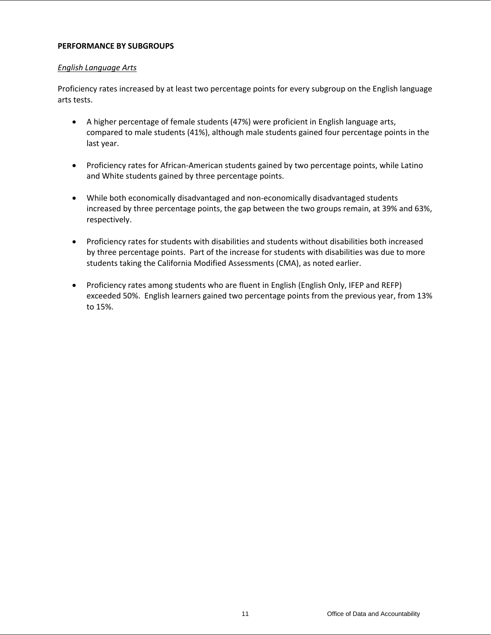## **PERFORMANCE BY SUBGROUPS**

## *English Language Arts*

Proficiency rates increased by at least two percentage points for every subgroup on the English language arts tests.

- A higher percentage of female students (47%) were proficient in English language arts, compared to male students (41%), although male students gained four percentage points in the last year.
- Proficiency rates for African-American students gained by two percentage points, while Latino and White students gained by three percentage points.
- While both economically disadvantaged and non-economically disadvantaged students increased by three percentage points, the gap between the two groups remain, at 39% and 63%, respectively.
- Proficiency rates for students with disabilities and students without disabilities both increased by three percentage points. Part of the increase for students with disabilities was due to more students taking the California Modified Assessments (CMA), as noted earlier.
- Proficiency rates among students who are fluent in English (English Only, IFEP and REFP) exceeded 50%. English learners gained two percentage points from the previous year, from 13% to 15%.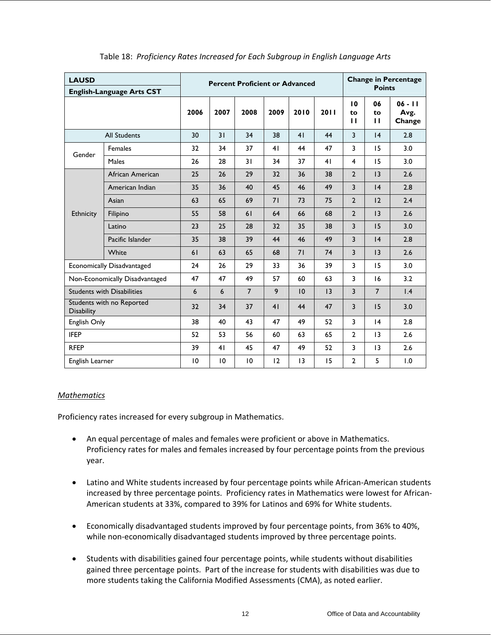| <b>LAUSD</b>                                   | <b>English-Language Arts CST</b>  |                 |      | <b>Percent Proficient or Advanced</b> |      | <b>Change in Percentage</b><br><b>Points</b> |                |                |                          |                             |
|------------------------------------------------|-----------------------------------|-----------------|------|---------------------------------------|------|----------------------------------------------|----------------|----------------|--------------------------|-----------------------------|
|                                                |                                   | 2006            | 2007 | 2008                                  | 2009 | 2010                                         | 2011           | 10<br>to<br>п  | 06<br>to<br>$\mathbf{H}$ | $06 - 11$<br>Avg.<br>Change |
|                                                | <b>All Students</b>               | 30              | 31   | 34                                    | 38   | 41                                           | 44             | 3              | 4                        | 2.8                         |
| Gender                                         | Females                           | 32              | 34   | 37                                    | 41   | 44                                           | 47             | 3              | 15                       | 3.0                         |
|                                                | Males                             | 26              | 28   | 31                                    | 34   | 37                                           | 41             | $\overline{4}$ | 15                       | 3.0                         |
|                                                | African American                  | 25              | 26   | 29                                    | 32   | 36                                           | 38             | $\overline{2}$ | 3                        | 2.6                         |
|                                                | American Indian                   | 35              | 36   | 40                                    | 45   | 46                                           | 49             | 3              | 4                        | 2.8                         |
|                                                | Asian                             | 63              | 65   | 69                                    | 71   | 73                                           | 75             | $\overline{2}$ | 12                       | 2.4                         |
| Ethnicity                                      | Filipino                          | 55              | 58   | 61                                    | 64   | 66                                           | 68             | $\overline{2}$ | 3                        | 2.6                         |
|                                                | Latino                            | 23              | 25   | 28                                    | 32   | 35                                           | 38             | 3              | 15                       | 3.0                         |
|                                                | Pacific Islander                  | 35              | 38   | 39                                    | 44   | 46                                           | 49             | 3              | 4                        | 2.8                         |
|                                                | White                             | 61              | 63   | 65                                    | 68   | 71                                           | 74             | 3              | 3                        | 2.6                         |
|                                                | Economically Disadvantaged        | 24              | 26   | 29                                    | 33   | 36                                           | 39             | 3              | 15                       | 3.0                         |
|                                                | Non-Economically Disadvantaged    | 47              | 47   | 49                                    | 57   | 60                                           | 63             | 3              | 16                       | 3.2                         |
|                                                | <b>Students with Disabilities</b> | 6               | 6    | $\overline{7}$                        | 9    | 10                                           | 3              | $\overline{3}$ | $\overline{7}$           | $\mathsf{I}$ .4             |
| Students with no Reported<br><b>Disability</b> |                                   | 32              | 34   | 37                                    | 41   | 44                                           | 47             | 3              | 15                       | 3.0                         |
| English Only                                   |                                   | 38              | 40   | 43                                    | 47   | 49                                           | 52             | 3              | 4                        | 2.8                         |
| <b>IFEP</b>                                    |                                   | 52              | 53   | 56                                    | 60   | 63                                           | 65             | $\mathbf{2}$   | 13                       | 2.6                         |
| <b>RFEP</b>                                    |                                   | 39              | 41   | 45                                    | 47   | 49                                           | 52             | 3              | 3                        | 2.6                         |
| English Learner                                | 10                                | $\overline{10}$ | 10   | 12                                    | 3    | 15                                           | $\overline{2}$ | 5              | 1.0                      |                             |

## Table 18: *Proficiency Rates Increased for Each Subgroup in English Language Arts*

## *Mathematics*

Proficiency rates increased for every subgroup in Mathematics.

- An equal percentage of males and females were proficient or above in Mathematics. Proficiency rates for males and females increased by four percentage points from the previous year.
- Latino and White students increased by four percentage points while African-American students increased by three percentage points. Proficiency rates in Mathematics were lowest for African-American students at 33%, compared to 39% for Latinos and 69% for White students.
- Economically disadvantaged students improved by four percentage points, from 36% to 40%, while non-economically disadvantaged students improved by three percentage points.
- Students with disabilities gained four percentage points, while students without disabilities gained three percentage points. Part of the increase for students with disabilities was due to more students taking the California Modified Assessments (CMA), as noted earlier.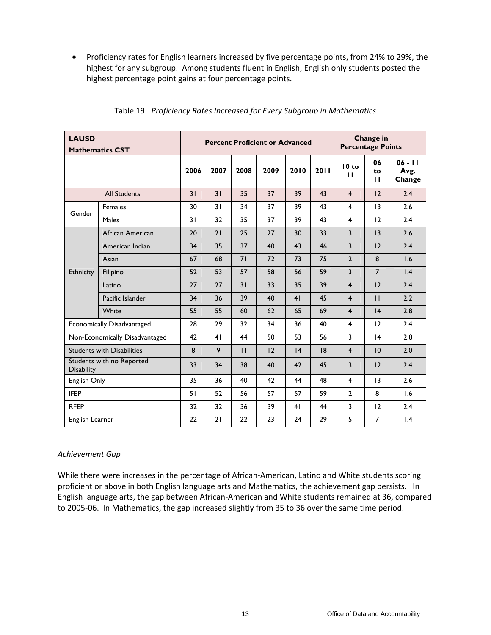• Proficiency rates for English learners increased by five percentage points, from 24% to 29%, the highest for any subgroup. Among students fluent in English, English only students posted the highest percentage point gains at four percentage points.

| <b>LAUSD</b>                                   | <b>Mathematics CST</b>            |      |      |              | <b>Percent Proficient or Advanced</b> |      |      | Change in<br><b>Percentage Points</b> |                          |                             |  |
|------------------------------------------------|-----------------------------------|------|------|--------------|---------------------------------------|------|------|---------------------------------------|--------------------------|-----------------------------|--|
|                                                |                                   | 2006 | 2007 | 2008         | 2009                                  | 2010 | 2011 | 10 to<br>п                            | 06<br>to<br>$\mathbf{H}$ | $06 - 11$<br>Avg.<br>Change |  |
|                                                | <b>All Students</b>               | 31   | 31   | 35           | 37                                    | 39   | 43   | $\overline{4}$                        | 12                       | 2.4                         |  |
| Gender                                         | <b>Females</b>                    | 30   | 31   | 34           | 37                                    | 39   | 43   | $\overline{4}$                        | 13                       | 2.6                         |  |
|                                                | Males                             | 31   | 32   | 35           | 37                                    | 39   | 43   | $\overline{4}$                        | 12                       | 2.4                         |  |
|                                                | African American                  | 20   | 21   | 25           | 27                                    | 30   | 33   | $\overline{3}$                        | 13                       | 2.6                         |  |
|                                                | American Indian                   | 34   | 35   | 37           | 40                                    | 43   | 46   | 3                                     | 12                       | 2.4                         |  |
|                                                | Asian                             | 67   | 68   | 71           | 72                                    | 73   | 75   | $\overline{2}$                        | 8                        | 1.6                         |  |
| <b>Ethnicity</b>                               | Filipino                          | 52   | 53   | 57           | 58                                    | 56   | 59   | 3                                     | $\overline{7}$           | $\mathsf{I}$ .4             |  |
|                                                | Latino                            | 27   | 27   | 31           | 33                                    | 35   | 39   | $\overline{4}$                        | 12                       | 2.4                         |  |
|                                                | Pacific Islander                  | 34   | 36   | 39           | 40                                    | 41   | 45   | $\overline{4}$                        | $\mathbf{H}$             | 2.2                         |  |
|                                                | White                             | 55   | 55   | 60           | 62                                    | 65   | 69   | $\overline{4}$                        | 4                        | 2.8                         |  |
|                                                | Economically Disadvantaged        | 28   | 29   | 32           | 34                                    | 36   | 40   | $\overline{4}$                        | 12                       | 2.4                         |  |
|                                                | Non-Economically Disadvantaged    | 42   | 41   | 44           | 50                                    | 53   | 56   | $\overline{3}$                        | 4                        | 2.8                         |  |
|                                                | <b>Students with Disabilities</b> | 8    | 9    | $\mathbf{H}$ | 12                                    | 4    | 8    | $\overline{4}$                        | 10                       | 2.0                         |  |
| Students with no Reported<br><b>Disability</b> | 33                                | 34   | 38   | 40           | 42                                    | 45   | 3    | 12                                    | 2.4                      |                             |  |
| English Only                                   |                                   | 35   | 36   | 40           | 42                                    | 44   | 48   | $\overline{4}$                        | $\overline{13}$          | 2.6                         |  |
| <b>IFEP</b>                                    |                                   | 51   | 52   | 56           | 57                                    | 57   | 59   | $\overline{2}$                        | 8                        | 1.6                         |  |
| <b>RFEP</b>                                    |                                   | 32   | 32   | 36           | 39                                    | 41   | 44   | 3                                     | 12                       | 2.4                         |  |
| English Learner                                |                                   | 22   | 21   | 22           | 23                                    | 24   | 29   | 5                                     | $\overline{7}$           | 1.4                         |  |

## Table 19: *Proficiency Rates Increased for Every Subgroup in Mathematics*

## *Achievement Gap*

While there were increases in the percentage of African-American, Latino and White students scoring proficient or above in both English language arts and Mathematics, the achievement gap persists. In English language arts, the gap between African-American and White students remained at 36, compared to 2005-06. In Mathematics, the gap increased slightly from 35 to 36 over the same time period.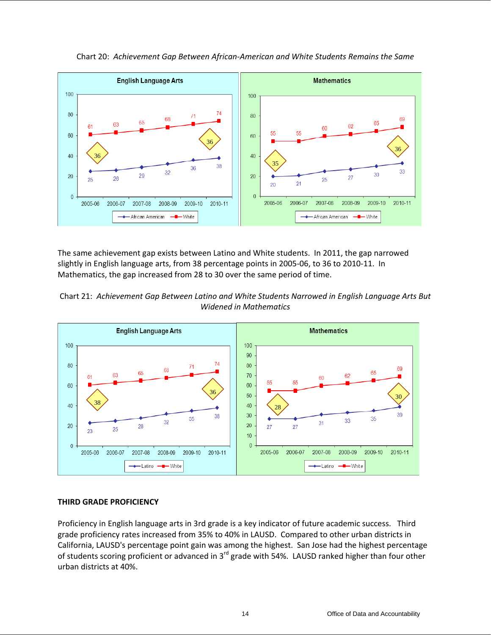

Chart 20: *Achievement Gap Between African-American and White Students Remains the Same* 

The same achievement gap exists between Latino and White students. In 2011, the gap narrowed slightly in English language arts, from 38 percentage points in 2005-06, to 36 to 2010-11. In Mathematics, the gap increased from 28 to 30 over the same period of time.





## **THIRD GRADE PROFICIENCY**

Proficiency in English language arts in 3rd grade is a key indicator of future academic success. Third grade proficiency rates increased from 35% to 40% in LAUSD. Compared to other urban districts in California, LAUSD's percentage point gain was among the highest. San Jose had the highest percentage of students scoring proficient or advanced in  $3^{rd}$  grade with 54%. LAUSD ranked higher than four other urban districts at 40%.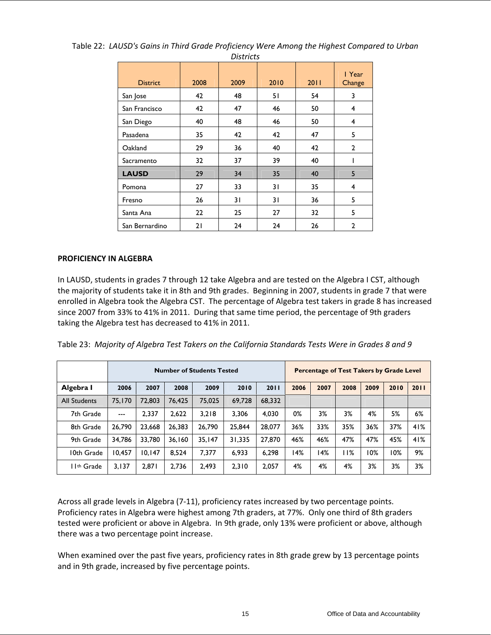| <b>District</b> | 2008 | 2009 | 2010 | 2011 | I Year<br>Change |
|-----------------|------|------|------|------|------------------|
| San Jose        | 42   | 48   | 51   | 54   | 3                |
| San Francisco   | 42   | 47   | 46   | 50   | 4                |
| San Diego       | 40   | 48   | 46   | 50   | 4                |
| Pasadena        | 35   | 42   | 42   | 47   | 5                |
| Oakland         | 29   | 36   | 40   | 42   | $\mathbf{2}$     |
| Sacramento      | 32   | 37   | 39   | 40   |                  |
| <b>LAUSD</b>    | 29   | 34   | 35   | 40   | 5                |
| Pomona          | 27   | 33   | 31   | 35   | 4                |
| Fresno          | 26   | 31   | 31   | 36   | 5                |
| Santa Ana       | 22   | 25   | 27   | 32   | 5                |
| San Bernardino  | 21   | 24   | 24   | 26   | $\mathbf{2}$     |

Table 22: *LAUSD's Gains in Third Grade Proficiency Were Among the Highest Compared to Urban Districts* 

### **PROFICIENCY IN ALGEBRA**

In LAUSD, students in grades 7 through 12 take Algebra and are tested on the Algebra I CST, although the majority of students take it in 8th and 9th grades. Beginning in 2007, students in grade 7 that were enrolled in Algebra took the Algebra CST. The percentage of Algebra test takers in grade 8 has increased since 2007 from 33% to 41% in 2011. During that same time period, the percentage of 9th graders taking the Algebra test has decreased to 41% in 2011.

|  |  |  | Table 23: Majority of Algebra Test Takers on the California Standards Tests Were in Grades 8 and 9 |  |  |
|--|--|--|----------------------------------------------------------------------------------------------------|--|--|
|--|--|--|----------------------------------------------------------------------------------------------------|--|--|

|                         |        |        |        | <b>Number of Students Tested</b> |        |        |      |      | Percentage of Test Takers by Grade Level |      |      |      |
|-------------------------|--------|--------|--------|----------------------------------|--------|--------|------|------|------------------------------------------|------|------|------|
| Algebra I               | 2006   | 2007   | 2008   | 2009                             | 2010   | 2011   | 2006 | 2007 | 2008                                     | 2009 | 2010 | 2011 |
| <b>All Students</b>     | 75.170 | 72,803 | 76.425 | 75.025                           | 69.728 | 68.332 |      |      |                                          |      |      |      |
| 7th Grade               | $---$  | 2,337  | 2,622  | 3,218                            | 3.306  | 4.030  | 0%   | 3%   | 3%                                       | 4%   | 5%   | 6%   |
| 8th Grade               | 26.790 | 23.668 | 26.383 | 26.790                           | 25.844 | 28,077 | 36%  | 33%  | 35%                                      | 36%  | 37%  | 41%  |
| 9th Grade               | 34,786 | 33.780 | 36.160 | 35.147                           | 31,335 | 27,870 | 46%  | 46%  | 47%                                      | 47%  | 45%  | 41%  |
| 10th Grade              | 10,457 | 10.147 | 8,524  | 7,377                            | 6,933  | 6,298  | 14%  | 14%  | 11%                                      | 10%  | 0%   | 9%   |
| I I <sup>th</sup> Grade | 3,137  | 2,871  | 2,736  | 2,493                            | 2,310  | 2,057  | 4%   | 4%   | 4%                                       | 3%   | 3%   | 3%   |

Across all grade levels in Algebra (7-11), proficiency rates increased by two percentage points. Proficiency rates in Algebra were highest among 7th graders, at 77%. Only one third of 8th graders tested were proficient or above in Algebra. In 9th grade, only 13% were proficient or above, although there was a two percentage point increase.

When examined over the past five years, proficiency rates in 8th grade grew by 13 percentage points and in 9th grade, increased by five percentage points.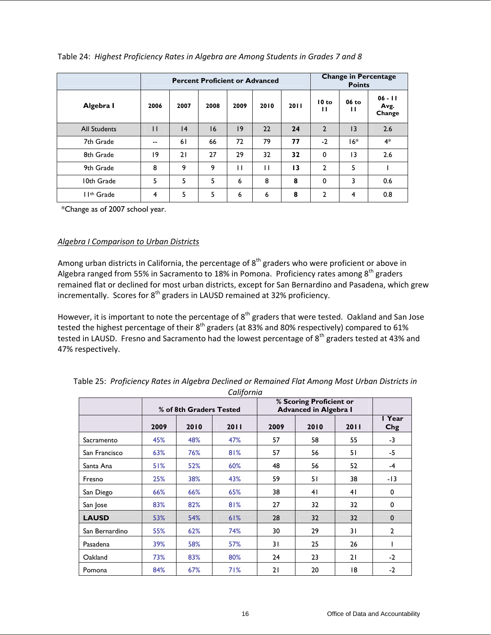|                         |              |      | <b>Percent Proficient or Advanced</b> |      |      |      |                | <b>Points</b> | <b>Change in Percentage</b> |
|-------------------------|--------------|------|---------------------------------------|------|------|------|----------------|---------------|-----------------------------|
| Algebra I               | 2006         | 2007 | 2008                                  | 2009 | 2010 | 2011 | 10 to<br>п     | 06 to<br>п    | $06 - 11$<br>Avg.<br>Change |
| <b>All Students</b>     | $\mathsf{I}$ | 4    | 16                                    | 9    | 22   | 24   | $\overline{2}$ | 13            | 2.6                         |
| 7th Grade               | --           | 61   | 66                                    | 72   | 79   | 77   | $-2$           | 16*           | $4*$                        |
| 8th Grade               | 19           | 21   | 27                                    | 29   | 32   | 32   | 0              | 13            | 2.6                         |
| 9th Grade               | 8            | 9    | 9                                     | П    | П    | 13   | 2              | 5             |                             |
| 10th Grade              | 5            | 5    | 5                                     | 6    | 8    | 8    | 0              | 3             | 0.6                         |
| I I <sup>th</sup> Grade | 4            | 5    | 5                                     | 6    | 6    | 8    | 2              | 4             | 0.8                         |

Table 24: *Highest Proficiency Rates in Algebra are Among Students in Grades 7 and 8* 

\*Change as of 2007 school year.

## *Algebra I Comparison to Urban Districts*

Among urban districts in California, the percentage of  $8<sup>th</sup>$  graders who were proficient or above in Algebra ranged from 55% in Sacramento to 18% in Pomona. Proficiency rates among  $8^{th}$  graders remained flat or declined for most urban districts, except for San Bernardino and Pasadena, which grew incrementally. Scores for  $8<sup>th</sup>$  graders in LAUSD remained at 32% proficiency.

However, it is important to note the percentage of  $8<sup>th</sup>$  graders that were tested. Oakland and San Jose tested the highest percentage of their 8<sup>th</sup> graders (at 83% and 80% respectively) compared to 61% tested in LAUSD. Fresno and Sacramento had the lowest percentage of 8<sup>th</sup> graders tested at 43% and 47% respectively.

|                |      | % of 8th Graders Tested |      |      | % Scoring Proficient or<br><b>Advanced in Algebra I</b> |      |                |
|----------------|------|-------------------------|------|------|---------------------------------------------------------|------|----------------|
|                | 2009 | 2010                    | 2011 | 2009 | 2010                                                    | 2011 | I Year<br>Chg  |
| Sacramento     | 45%  | 48%                     | 47%  | 57   | 58                                                      | 55   | $-3$           |
| San Francisco  | 63%  | 76%                     | 81%  | 57   | 56                                                      | 51   | -5             |
| Santa Ana      | 51%  | 52%                     | 60%  | 48   | 56                                                      | 52   | $-4$           |
| Fresno         | 25%  | 38%                     | 43%  | 59   | 51                                                      | 38   | $-13$          |
| San Diego      | 66%  | 66%                     | 65%  | 38   | 41                                                      | 41   | 0              |
| San Jose       | 83%  | 82%                     | 81%  | 27   | 32                                                      | 32   | 0              |
| <b>LAUSD</b>   | 53%  | 54%                     | 61%  | 28   | 32                                                      | 32   | 0              |
| San Bernardino | 55%  | 62%                     | 74%  | 30   | 29                                                      | 31   | $\overline{2}$ |
| Pasadena       | 39%  | 58%                     | 57%  | 31   | 25                                                      | 26   |                |
| Oakland        | 73%  | 83%                     | 80%  | 24   | 23                                                      | 21   | $-2$           |
| Pomona         | 84%  | 67%                     | 71%  | 21   | 20                                                      | 18   | $-2$           |

Table 25: *Proficiency Rates in Algebra Declined or Remained Flat Among Most Urban Districts in California*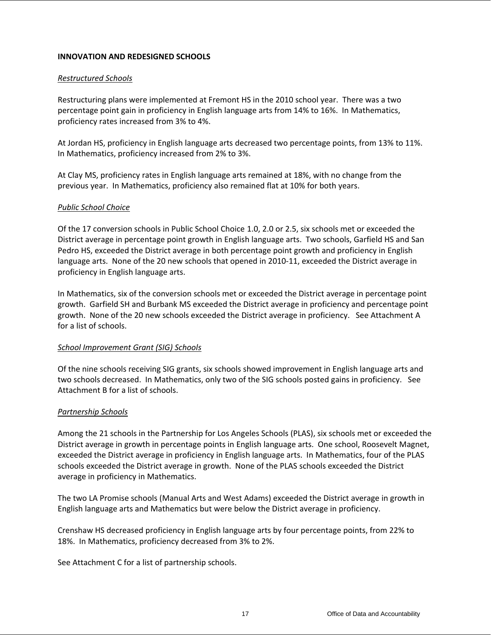## **INNOVATION AND REDESIGNED SCHOOLS**

### *Restructured Schools*

Restructuring plans were implemented at Fremont HS in the 2010 school year. There was a two percentage point gain in proficiency in English language arts from 14% to 16%. In Mathematics, proficiency rates increased from 3% to 4%.

At Jordan HS, proficiency in English language arts decreased two percentage points, from 13% to 11%. In Mathematics, proficiency increased from 2% to 3%.

At Clay MS, proficiency rates in English language arts remained at 18%, with no change from the previous year. In Mathematics, proficiency also remained flat at 10% for both years.

### *Public School Choice*

Of the 17 conversion schools in Public School Choice 1.0, 2.0 or 2.5, six schools met or exceeded the District average in percentage point growth in English language arts. Two schools, Garfield HS and San Pedro HS, exceeded the District average in both percentage point growth and proficiency in English language arts. None of the 20 new schools that opened in 2010-11, exceeded the District average in proficiency in English language arts.

In Mathematics, six of the conversion schools met or exceeded the District average in percentage point growth. Garfield SH and Burbank MS exceeded the District average in proficiency and percentage point growth. None of the 20 new schools exceeded the District average in proficiency. See Attachment A for a list of schools.

### *School Improvement Grant (SIG) Schools*

Of the nine schools receiving SIG grants, six schools showed improvement in English language arts and two schools decreased. In Mathematics, only two of the SIG schools posted gains in proficiency. See Attachment B for a list of schools.

## *Partnership Schools*

Among the 21 schools in the Partnership for Los Angeles Schools (PLAS), six schools met or exceeded the District average in growth in percentage points in English language arts. One school, Roosevelt Magnet, exceeded the District average in proficiency in English language arts. In Mathematics, four of the PLAS schools exceeded the District average in growth. None of the PLAS schools exceeded the District average in proficiency in Mathematics.

The two LA Promise schools (Manual Arts and West Adams) exceeded the District average in growth in English language arts and Mathematics but were below the District average in proficiency.

Crenshaw HS decreased proficiency in English language arts by four percentage points, from 22% to 18%. In Mathematics, proficiency decreased from 3% to 2%.

See Attachment C for a list of partnership schools.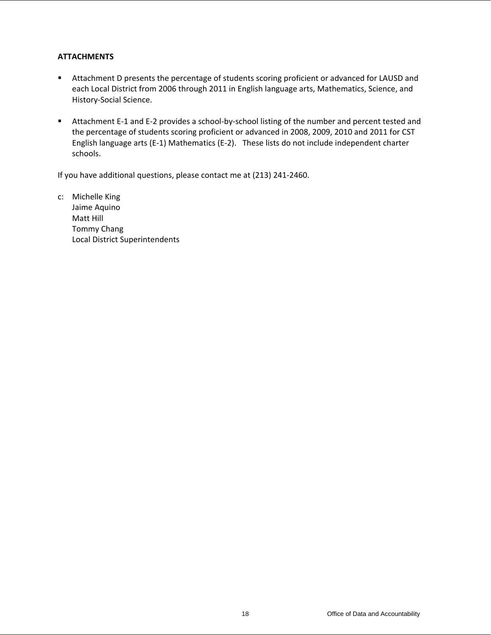## **ATTACHMENTS**

- Attachment D presents the percentage of students scoring proficient or advanced for LAUSD and each Local District from 2006 through 2011 in English language arts, Mathematics, Science, and History-Social Science.
- Attachment E-1 and E-2 provides a school-by-school listing of the number and percent tested and the percentage of students scoring proficient or advanced in 2008, 2009, 2010 and 2011 for CST English language arts (E-1) Mathematics (E-2). These lists do not include independent charter schools.

If you have additional questions, please contact me at (213) 241-2460.

c: Michelle King Jaime Aquino Matt Hill Tommy Chang Local District Superintendents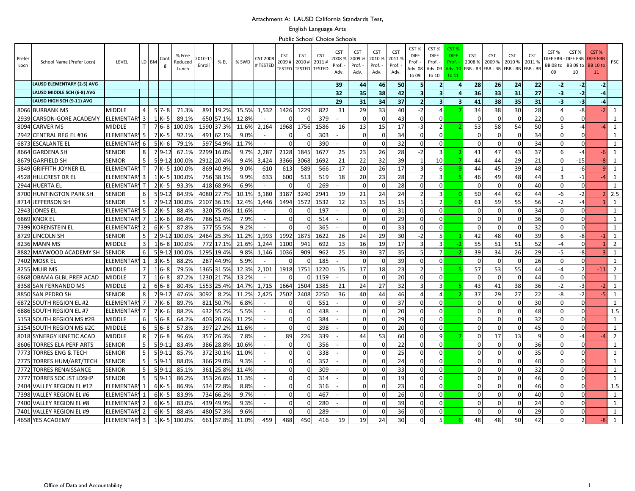#### Attachment A: LAUSD California Standards Test,

#### English Language Arts

Public School Choice Schools

| Prefer<br>Locn | School Name (Prefer Locn)         | LEVEL             |                | LD BM          | Cont      | % Free<br>Reducec<br>Lunch | 2010-1:<br>Enroll | % EL      | % SWD | <b>CST 2008</b><br><b># TESTED</b> | <b>CST</b><br>2009 #<br>TESTED | <b>CST</b><br>2010#<br><b>TESTED</b> | <b>CST</b><br>2011<br><b>TESTED</b> | <b>CST</b><br>2008 %<br>Prof.<br>Adv. | <b>CST</b><br>2009 %<br>Prof.<br>Adv. | <b>CST</b><br>2010 %<br>Prof. -<br>Adv. | <b>CST</b><br>2011%<br>Prof.<br>Adv. | CST %<br><b>DIFF</b><br>Prof.<br>Adv. 08<br>to 09 | CST%<br><b>DIFF</b><br>Prof.<br>Adv. 09<br>to 10 | CST<br><b>DIFF</b><br>Prof.<br>Adv. 10<br>to 11 | <b>CST</b><br>2008 %<br>FBB - BB FBB - BB FBB - BB | <b>CST</b><br>2009 %    | <b>CST</b><br>2010 % | <b>CST</b><br>20119<br>FBB - BB | CST %<br><b>DIFF FBB</b><br>BB 08 to<br>09 | CST%<br><b>DIFF FBB</b><br>BB 09 to<br>10 | CST%<br><b>DIFF FBE</b><br><b>BB 10 to</b><br>11 | PSC            |
|----------------|-----------------------------------|-------------------|----------------|----------------|-----------|----------------------------|-------------------|-----------|-------|------------------------------------|--------------------------------|--------------------------------------|-------------------------------------|---------------------------------------|---------------------------------------|-----------------------------------------|--------------------------------------|---------------------------------------------------|--------------------------------------------------|-------------------------------------------------|----------------------------------------------------|-------------------------|----------------------|---------------------------------|--------------------------------------------|-------------------------------------------|--------------------------------------------------|----------------|
|                | <b>LAUSD ELEMENTARY (2-5) AVG</b> |                   |                |                |           |                            |                   |           |       |                                    |                                |                                      |                                     | 39                                    | 44                                    | 46                                      | 50                                   | 5                                                 | $\overline{2}$                                   |                                                 | 28                                                 | 26                      | 24                   | 22                              | $-2$                                       | $-2$                                      | $-2$                                             |                |
|                | LAUSD MIDDLE SCH (6-8) AVG        |                   |                |                |           |                            |                   |           |       |                                    |                                |                                      |                                     | 32                                    | 35                                    | 38                                      | 42                                   | $\overline{\mathbf{3}}$                           | $\overline{\mathbf{3}}$                          |                                                 | 36                                                 | 33                      | 31                   | 27                              | $-3$                                       | $-2$                                      | $-4$                                             |                |
|                | LAUSD HIGH SCH (9-11) AVG         |                   |                |                |           |                            |                   |           |       |                                    |                                |                                      |                                     | 29                                    | 31                                    | 34                                      | 37                                   | $\overline{2}$                                    | $\overline{\mathbf{3}}$                          | з                                               | 41                                                 | 38                      | 35                   | 31                              | -3                                         | $-3$                                      | -4                                               |                |
|                | 8066 BURBANK MS                   | <b>MIDDLE</b>     |                |                | $57 - 8$  | 71.3%                      | 891               | 19.2%     | 15.5% | 1,532                              | 1426                           | 1229                                 | 822                                 | 31                                    | 29                                    | 33                                      | 40                                   | $-2$                                              | $\Delta$                                         |                                                 | 34                                                 | 38                      | 30                   | 28                              | 4                                          | -8                                        | $-2$                                             | $\mathbf{1}$   |
| 2939           | ICARSON-GORE ACADEMY              | ELEMENTAR         | 3              |                | $1 K - 5$ | 89.1%                      | 650               | 57.1%     | 12.8% | $\overline{\phantom{a}}$           |                                |                                      | 379                                 |                                       |                                       | $\Omega$                                | 43                                   | $\Omega$                                          | $\Omega$                                         |                                                 | $\mathbf 0$                                        | $\Omega$                | <sup>0</sup>         | 22                              | $\Omega$                                   | $\Omega$                                  |                                                  | $\mathbf{1}$   |
|                | 8094 CARVER MS                    | <b>MIDDLE</b>     |                | $\overline{7}$ | $6 - 8$   | 100.0%                     | 1590              | 37.3%     | 11.6% | 2,164                              | 1968                           | 1756                                 | 1586                                | 16                                    | 13                                    | 15                                      | 17                                   | -3                                                | $\overline{2}$                                   |                                                 | 53                                                 | 58                      | 54                   | 50                              | 5                                          | $-4$                                      |                                                  | 1              |
|                | 2942 CENTRAL REG EL #16           | <b>ELEMENTARY</b> | -5             |                | $7K-5$    | 92.1%                      | 491               | 62.1%     | 9.0%  | $\overline{\phantom{a}}$           |                                |                                      | 303                                 |                                       |                                       | $\Omega$                                | 34                                   |                                                   | $\Omega$                                         |                                                 | $\Omega$                                           | $\Omega$                |                      | 34                              | $\Omega$                                   | $\Omega$                                  |                                                  | $\mathbf{1}$   |
| 6873           | <b>IESCALANTE EL</b>              | <b>ELEMENTAR</b>  | 6              |                | $5K-6$    | 79.1%                      | 597               | 54.9%     | 11.7% | $\overline{\phantom{a}}$           |                                | n                                    | 390                                 |                                       | ŋ                                     | $\Omega$                                | 32                                   | $\Omega$                                          | $\Omega$                                         |                                                 | $\Omega$                                           | $\Omega$                | <sup>0</sup>         | 34                              | <sup>0</sup>                               | $\Omega$                                  |                                                  | 1              |
|                | 8664 GARDENA SH                   | <b>SENIOR</b>     | 8              | $\overline{7}$ | $9-1.$    | 67.1%                      | 2299              | 16.0%     | 9.7%  | 2,287                              | 2128                           | 1845                                 | 1677                                | 25                                    | 23                                    | 26                                      | 28                                   | $-2$                                              | 3                                                |                                                 | 41                                                 | 47                      | 43                   | 37                              | 6                                          | $-4$                                      | $-6$                                             | 1              |
|                | 8679 GARFIELD SH                  | <b>SENIOR</b>     |                | 5              | $9 - 12$  | 100.0%                     | 2912              | 20.4%     | 9.4%  | 3,424                              | 3366                           | 3068                                 | 1692                                | 21                                    | 22                                    | 32                                      | 39                                   |                                                   | 10                                               |                                                 | 44                                                 | 44                      | 29                   | 21                              | $\Omega$                                   | $-15$                                     | $-8$                                             | $\mathbf{1}$   |
| 5849           | <b>GRIFFITH JOYNER EL</b>         | ELEMENTAR         |                | $\overline{7}$ | K- 5      | 100.0%                     | 869               | 40.9%     | 9.0%  | 610                                | 613                            | 589                                  | 566                                 | 17                                    | 20                                    | 26                                      | 17                                   | 3                                                 | 6                                                |                                                 | 44                                                 | 45                      | 39                   | 48                              | $\mathbf{1}$                               | -6                                        | 9 <sub>l</sub>                                   | $\mathbf{1}$   |
|                | 4528 HILLCREST DR EL              | <b>ELEMENTAF</b>  | 3              |                | 1 K-5     | 100.0%                     | 756               | 38.1%     | 9.9%  | 633                                | 600                            | 513                                  | 519                                 | 18                                    | 20                                    | 23                                      | 28                                   | $\overline{2}$                                    | 3                                                |                                                 | 46                                                 | 49                      | 48                   | 44                              | $\overline{3}$                             | $-1$                                      | $-4$                                             | $\mathbf{1}$   |
|                | 2944 HUERTA EL                    | <b>ELEMENTAR</b>  |                | 2              | IK- 5     | 93.3%                      | 418               | 68.9%     | 6.9%  |                                    |                                |                                      | 269                                 |                                       | O                                     | $\Omega$                                | 28                                   | $\Omega$                                          | $\Omega$                                         |                                                 | $\Omega$                                           | $\Omega$                | $\Omega$             | 40                              | $\Omega$                                   | $\Omega$                                  |                                                  | $\mathbf{1}$   |
| 8700           | <b>HUNTINGTON PARK SH</b>         | <b>SENIOR</b>     | 6              |                | $59-1$    | 84.9%                      | 4080              | 27.7%     | 10.1% | 3,180                              | 3187                           | 3240                                 | 2941                                | 19                                    | 21                                    | 24                                      | 24                                   | $\overline{2}$                                    | 3                                                |                                                 | 50                                                 | 44                      | 42                   | 44                              | -6                                         | $-2$                                      |                                                  | 2.5            |
|                | 8714 JEFFERSON SH                 | <b>SENIOR</b>     | 5              |                | 79-12     | 100.0%                     | 2107              | 36.1%     | 12.4% | 1,446                              | 1494                           | 1572                                 | 1532                                | 12                                    | 13                                    | 15                                      | 15                                   | 1                                                 | $\mathcal{P}$                                    |                                                 | 61                                                 | 59                      | 55                   | 56                              | $-2$                                       | $-4$                                      |                                                  | 1              |
|                | 2943 JONES EI                     | <b>ELEMENTAR</b>  | 5              |                | $2K - 5$  | 88.4%                      | 320               | 75.0%     | 11.6% |                                    |                                |                                      | 197                                 |                                       |                                       | $\Omega$                                | 31                                   | $\Omega$                                          | $\Omega$                                         |                                                 | $\mathbf 0$                                        | $\Omega$                | $\Omega$             | 34                              | $\Omega$                                   | $\Omega$                                  |                                                  | $\mathbf{1}$   |
| 6869           | <b>KNOX EL</b>                    | ELEMENTAR         |                |                |           | 86.4%                      | 786               | 51.4%     | 7.9%  | $\overline{\phantom{a}}$           |                                |                                      | 514                                 |                                       |                                       |                                         | 29                                   | $\Omega$                                          | $\Omega$                                         |                                                 | $\Omega$                                           | $\Omega$                |                      | 36                              | $\Omega$                                   | $\Omega$                                  |                                                  | $\mathbf{1}$   |
|                | 7399 KORENSTEIN EL                | <b>ELEMENTAR</b>  | 2              |                | $6K-5$    | 87.8%                      | 577               | 55.5%     | 9.2%  | $\sim$                             | n                              |                                      | 365                                 |                                       | U                                     | $\Omega$                                | 33                                   | O                                                 | $\Omega$                                         |                                                 | $\mathbf{0}$                                       | $\Omega$                | $\Omega$             | 32                              | $\Omega$                                   | $\Omega$                                  |                                                  | $\mathbf{1}$   |
|                | 8729 LINCOLN SH                   | <b>SENIOR</b>     | 5              |                | $2 9-12$  | 100.0%                     | 2464              | 25.3%     | 11.2% | 1,993                              | 1992                           | 1875                                 | 1622                                | 26                                    | 24                                    | 29                                      | 30                                   | $-2$                                              | 5 <sub>l</sub>                                   |                                                 | 42                                                 | 48                      | 40                   | 39                              | 6                                          | -8                                        | $-1$                                             | 1              |
| 8236           | <b>MANN MS</b>                    | <b>MIDDLE</b>     | $\mathbf{3}$   | $\overline{1}$ | 16-8      | 100.0%                     | 772               | 17.1%     | 21.6% | 1,244                              | 1100                           | 941                                  | 692                                 | 13                                    | 16                                    | 19                                      | 17                                   | $\overline{3}$                                    | 3                                                |                                                 | 55                                                 | 51                      | 51                   | 52                              | $-4$                                       | $\Omega$                                  |                                                  | $\overline{2}$ |
|                | 8882 MAYWOOD ACADEMY SH           | SENIOR            | 6              |                | $5 9-12$  | 100.0%                     | 1295              | 19.4%     | 9.8%  | 1,146                              | 1036                           | 909                                  | 962                                 | 25                                    | 30                                    | 37                                      | 35                                   | 5 <sup>1</sup>                                    | $7 \overline{ }$                                 |                                                 | 39                                                 | 34                      | 26                   | 29                              | $-5$                                       | -8                                        |                                                  | $\mathbf{1}$   |
|                | 7402 MOSK EL                      | <b>ELEMENTAR</b>  | 1              |                | $3K - 5$  | 88.2%                      | 287               | 44.9%     | 5.9%  |                                    |                                |                                      | 185                                 |                                       |                                       | $\Omega$                                | 39                                   | $\overline{0}$                                    | $\Omega$                                         |                                                 | $\mathbf{0}$                                       | $\Omega$                | $\Omega$             | 26                              | $\Omega$                                   | $\Omega$                                  |                                                  | $\mathbf{1}$   |
| 8255           | <b>MUIR MS</b>                    | <b>MIDDLE</b>     |                | $\overline{1}$ | 6-8       | 79.5%                      | 1365              | 31.5%     | 12.3% | 2,101                              | 1918                           | 1751                                 | 1220                                | 15                                    | 17                                    | 18                                      | 23                                   | $\overline{2}$                                    | $\mathbf{1}$                                     |                                                 | 57                                                 | 53                      | 55                   | 44                              | $-4$                                       |                                           | $-11$                                            | $\overline{2}$ |
| 6868           | OBAMA GLBL PREP ACAD              | <b>MIDDLE</b>     |                |                | $16 - 8$  | 87.2%                      | 1230              | 21.7%     | 13.2% | $\sim$                             |                                |                                      | 1159                                |                                       |                                       | $\Omega$                                | 20                                   | O                                                 | $\Omega$                                         |                                                 | $\Omega$                                           | $\Omega$                | O                    | 44                              | 0                                          | $\Omega$                                  |                                                  | 1              |
|                | 8358 SAN FERNANDO MS              | <b>MIDDLE</b>     | $\overline{2}$ |                | $66 - 8$  | 80.4%                      | 1553              | 25.4%     | 14.7% | 1,715                              | 1664                           | 1504                                 | 1385                                | 21                                    | 24                                    | 27                                      | 32                                   | $\overline{3}$                                    | $\overline{3}$                                   |                                                 | 43                                                 | 41                      | 38                   | 36                              | $-2$                                       | $-3$                                      | $-2$                                             | $\mathbf{1}$   |
|                | 8850 SAN PEDRO SH                 | <b>SENIOR</b>     | 8              |                | $7 9-1$   | 47.6%                      | 3092              | 8.2%      | 11.2% | 2,425                              | 2502                           | 2408                                 | 2250                                | 36                                    | 40                                    | 44                                      | 46                                   | 4                                                 | 4                                                |                                                 | 37                                                 | 29                      | 27                   | 22                              | -8                                         | $-2$                                      | $-5$                                             | 1              |
|                | 6872 SOUTH REGION EL #2           | <b>ELEMENTARY</b> | $\overline{7}$ |                | $7K-6$    | 89.7%                      | 821               | 50.7%     | 6.8%  | $\overline{\phantom{a}}$           |                                |                                      | 551                                 |                                       |                                       | $\Omega$                                | 37                                   | 0                                                 | $\Omega$                                         |                                                 | $\mathbf 0$                                        | $\mathbf 0$             | 0                    | 30                              | $\Omega$                                   | $\Omega$                                  |                                                  | 1              |
|                | 6886 SOUTH REGION EL #7           | <b>ELEMENTAR</b>  | $\overline{7}$ |                | $7K-6$    | 88.2%                      | 632               | 55.2%     | 5.5%  | $\sim$                             | n                              | $\Omega$                             | 438                                 |                                       |                                       | $\Omega$                                | 20                                   | $\Omega$                                          | $\Omega$                                         |                                                 | $\mathbf{0}$                                       | $\Omega$                | $\Omega$             | 48                              | $\Omega$                                   | $\Omega$                                  |                                                  | 1.5            |
|                | 5153 SOUTH REGION MS #2B          | <b>MIDDLE</b>     | 6              |                | $56 - 8$  | 64.2%                      | 403               | 20.6%     | 11.2% | $\sim$                             |                                | n                                    | 384                                 |                                       | U                                     | $\Omega$                                | 29                                   | $\mathbf 0$                                       | $\Omega$                                         |                                                 | $\mathbf 0$                                        | $\Omega$                | $\Omega$             | 32                              | $\Omega$                                   | $\Omega$                                  |                                                  | 1              |
|                | 5154 SOUTH REGION MS #2C          | <b>MIDDLE</b>     | 6              | 5              | 6-8       | 57.8%                      | 397               | 27.2%     | 11.6% | $\sim$                             |                                |                                      | 398                                 |                                       |                                       |                                         | 20                                   |                                                   | $\Omega$                                         |                                                 | $\Omega$                                           | $\Omega$                |                      | 45                              | C                                          | $\Omega$                                  |                                                  | $\mathbf{1}$   |
|                | 8018 SYNERGY KINETIC ACAD         | <b>MIDDLE</b>     | $\mathsf{R}$   |                | 7 6-8     | 96.6%                      |                   | 357 26.3% | 7.8%  | $\sim$                             | 89                             | 226                                  | 339                                 |                                       | 44                                    | 53                                      | 60                                   | $\overline{0}$                                    | 9                                                |                                                 | $\mathbf{0}$                                       | 17                      | 13                   | 9                               | $\Omega$                                   | $-4$                                      | $-4$                                             | $\overline{2}$ |
|                | 8606 TORRES ELA PERF ARTS         | <b>SENIOR</b>     | 5<br>5         | 5              | $19-1$    | 83.4%                      | 386               | 28.8%     | 10.6% | $\overline{\phantom{a}}$           |                                |                                      | 356                                 |                                       |                                       | $\Omega$                                | 22                                   | 0<br>$\Omega$                                     | $\Omega$                                         |                                                 | $\mathbf 0$<br>$\Omega$                            | $\mathbf 0$<br>$\Omega$ | $\Omega$             | 36                              | $\Omega$                                   | $\Omega$                                  |                                                  | 1              |
|                | 7773 TORRES ENG & TECH            | <b>SENIOR</b>     |                | 5              | $9 - 1$   | 85.7%                      | 372               | 30.1%     | 11.0% | $\sim$                             |                                |                                      | 338                                 |                                       |                                       |                                         | 25                                   |                                                   | $\Omega$                                         |                                                 |                                                    |                         |                      | 35                              | $\sqrt{ }$                                 |                                           |                                                  | $\mathbf{1}$   |
| 7775           | TORRES HUM/ART/TECH               | <b>SENIOR</b>     | 5              |                | $59-1$    | 88.0%                      | 366               | 29.0%     | 9.3%  | $\blacksquare$                     |                                | n                                    | 352                                 |                                       |                                       | <sup>n</sup>                            | 24                                   | $\Omega$                                          | $\Omega$                                         |                                                 | $\mathbf 0$                                        | $\Omega$                | 0                    | 40                              | <sup>0</sup>                               | $\Omega$                                  |                                                  | $\mathbf{1}$   |
| 7772           | <b>TORRES RENAISSANCE</b>         | <b>SENIOR</b>     | 5              | 5              | $9 - 1$   | 85.1%                      | 361               | 25.8%     | 11.4% | $\sim$                             |                                | $\Omega$                             | 309                                 |                                       | U                                     | $\Omega$                                | 33                                   | $\overline{0}$<br>$\Omega$                        | $\Omega$                                         |                                                 | $\mathbf 0$<br>$\Omega$                            | $\Omega$<br>$\Omega$    | $\Omega$             | 32                              | $\mathbf 0$<br>$\Omega$                    | $\Omega$<br>$\Omega$                      |                                                  | $\mathbf{1}$   |
| 7777           | <b>TORRES SOC JST LDSHP</b>       | <b>SENIOR</b>     |                |                | $5 9-1$   | 86.2%                      | 353               | 26.6%     | 11.3% | $\blacksquare$                     |                                |                                      | 314                                 |                                       |                                       |                                         | 19                                   |                                                   | $\Omega$                                         |                                                 |                                                    |                         |                      | 46                              |                                            |                                           |                                                  | $\mathbf{1}$   |
|                | 7404 VALLEY REGION EL #12         | <b>ELEMENTAR</b>  |                |                | 6 K-5     | 86.9%                      | 534               | 72.8%     | 8.8%  | $\overline{\phantom{a}}$           |                                |                                      | 316                                 |                                       |                                       | $\Omega$                                | 23                                   | 0                                                 | $\overline{0}$                                   |                                                 | $\mathbf 0$                                        | $\Omega$                | 0                    | 46                              | 0                                          | $\mathbf 0$                               |                                                  | 1.5            |
|                | 7398 VALLEY REGION EL #6          | <b>ELEMENTAF</b>  |                |                | $6K - 5$  | 83.9%                      | 734               | 66.2%     | 9.7%  | $\sim$                             | $\Omega$                       |                                      | 467                                 |                                       |                                       | $\Omega$                                | 26                                   | $\Omega$                                          | $\Omega$                                         |                                                 | $\mathbf 0$                                        | $\Omega$                | $\Omega$             | 40                              | $\Omega$                                   | $\Omega$                                  |                                                  | $\mathbf{1}$   |
|                | 7400 VALLEY REGION EL #8          | <b>ELEMENTAF</b>  |                | 61             |           | 83.0%                      | 439               | 49.9%     | 9.3%  |                                    |                                |                                      | 280                                 |                                       |                                       |                                         | 39                                   | U                                                 | $\Omega$                                         |                                                 | $\Omega$                                           | $\Omega$                |                      | 24                              | C                                          | $\Omega$                                  |                                                  | $\mathbf{1}$   |
|                | 7401 VALLEY REGION EL #9          | <b>ELEMENTAR</b>  |                |                | $6K - 5$  | 88.4%                      | 480               | 57.3%     | 9.6%  | $\blacksquare$                     |                                |                                      | 289                                 |                                       |                                       | n                                       | 36                                   | 0                                                 | $\Omega$                                         |                                                 | $\Omega$                                           | $\Omega$                | O                    | 29                              | $\Omega$                                   | $\Omega$                                  |                                                  | $\mathbf{1}$   |
|                | 4658 YES ACADEMY                  | <b>ELEMENTARY</b> | 3              |                | $1$ K-5   | 100.0%                     | 661               | 37.8%     | 11.0% | 459                                | 488                            | 450                                  | 416                                 | 19                                    | 19                                    | 24                                      | 30                                   | $\Omega$                                          |                                                  |                                                 | 48                                                 | 48                      | 50                   | 42                              | $\Omega$                                   |                                           | $-8$                                             | $\mathbf{1}$   |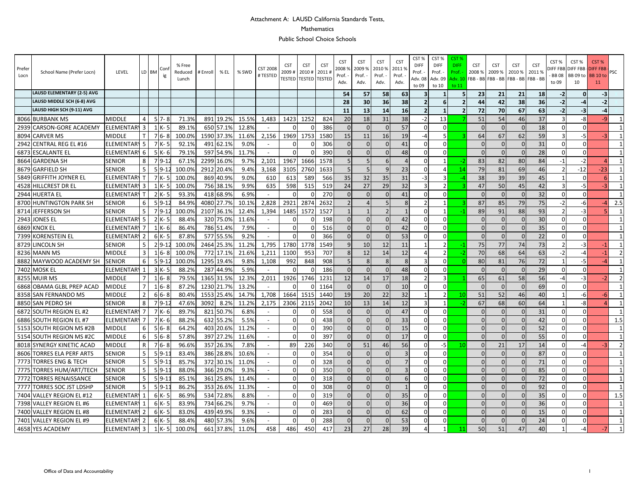#### Attachment A: LAUSD California Standards Tests, Mathematics

Public School Choice Schools

| Prefer<br>Locn | School Name (Prefer Locn)         | LEVEL             |                | LD BM | Con      | % Free<br>Reduced<br>Lunch | # Enroll   | % EL       | % SWD | <b>CST 2008</b><br># TESTED | <b>CST</b><br>2009<br>TESTED | <b>CST</b><br>2010#<br><b>TESTED TESTED</b> | <b>CST</b><br>$2011 +$ | <b>CST</b><br>20089<br>Prof.<br>Adv. | <b>CST</b><br>2009 9<br>Prof.<br>Adv. | <b>CST</b><br>2010 %<br>Prof. -<br>Adv. | <b>CST</b><br>2011%<br>Prof.<br>Adv. | CST%<br><b>DIFF</b><br>Prof.<br>Adv. 08<br>to 09 | CST%<br><b>DIFF</b><br>Prof. -<br>Adv. 09<br>to 10 | CST 9<br><b>DIFF</b><br>Prof.<br>Adv. 10<br>to 11 | <b>CST</b><br>2008 % | <b>CST</b><br>2009 % | <b>CST</b><br>2010%<br>FBB - BB FBB - BB FBB - BB FBB - BB | <b>CST</b><br>2011% | CST%<br><b>BB08</b><br>to 09 | CST%<br><b>DIFF FBB DIFF FBB</b><br>BB 09 to<br>10 | CST %<br><b>DIFF FBB</b><br><b>BB</b> 10 to<br>11 | <b>PSC</b>      |
|----------------|-----------------------------------|-------------------|----------------|-------|----------|----------------------------|------------|------------|-------|-----------------------------|------------------------------|---------------------------------------------|------------------------|--------------------------------------|---------------------------------------|-----------------------------------------|--------------------------------------|--------------------------------------------------|----------------------------------------------------|---------------------------------------------------|----------------------|----------------------|------------------------------------------------------------|---------------------|------------------------------|----------------------------------------------------|---------------------------------------------------|-----------------|
|                | <b>LAUSD ELEMENTARY (2-5) AVG</b> |                   |                |       |          |                            |            |            |       |                             |                              |                                             |                        | 54                                   | 57                                    | 58                                      | 63                                   | 3                                                |                                                    |                                                   | 23                   | 21                   | 21                                                         | 18                  | $-2$                         | <sup>0</sup>                                       | $-3$                                              |                 |
|                | LAUSD MIDDLE SCH (6-8) AVG        |                   |                |       |          |                            |            |            |       |                             |                              |                                             |                        | 28                                   | 30                                    | 36                                      | 38                                   | $\overline{2}$                                   |                                                    |                                                   | 44                   | 42                   | 38                                                         | 36                  | $-2$                         |                                                    | $-2$                                              |                 |
|                | LAUSD HIGH SCH (9-11) AVG         |                   |                |       |          |                            |            |            |       |                             |                              |                                             |                        | 11                                   | 13                                    | 14                                      | 16                                   | $\overline{2}$                                   | -1                                                 | 2                                                 | 72                   | 70                   | 67                                                         | 63                  | $-2$                         | -3                                                 | $-4$                                              |                 |
|                | 8066 BURBANK MS                   | <b>MIDDLE</b>     | 4              |       | $57 - 8$ | 71.3%                      |            | 891 19.2%  | 15.5% | 1,483                       | 1423                         | 1252                                        | 824                    | 20                                   | 18                                    | 31                                      | 38                                   | $-2$                                             | 13                                                 |                                                   | 51                   | 54                   | 46                                                         | 37                  | $\mathbf{a}$                 | -8                                                 | -9                                                | $\mathbf{1}$    |
| 2939           | CARSON-GORE ACADEMY               | <b>ELEMENTARY</b> | $\overline{3}$ |       | - K      | 89.1%                      |            | 650 57.1%  | 12.8% |                             |                              |                                             | 386                    |                                      | $\Omega$                              |                                         | 57                                   | $\Omega$                                         | $\Omega$                                           |                                                   | $\Omega$             |                      | $\Omega$                                                   | 18                  | $\Omega$                     | $\Omega$                                           |                                                   | $1\overline{ }$ |
|                | 8094 CARVER MS                    | MIDDLE            |                |       | $76 - 8$ | 100.0%                     |            | 1590 37.3% | 11.6% | 2,156                       | 1969                         | 1753                                        | 1580                   | 15                                   | 11                                    | 16                                      | 19                                   | -4                                               |                                                    |                                                   | 64                   | 67                   | 62                                                         | 59                  | $\mathbf{a}$                 | -5                                                 |                                                   | $\overline{1}$  |
|                | 2942 CENTRAL REG EL #16           | <b>ELEMENTARY</b> | 5              |       | 7 K-5    | 92.1%                      |            | 491 62.1%  | 9.0%  | $\sim$                      | $\Omega$                     |                                             | 306                    | $\Omega$                             | $\Omega$                              |                                         | 41                                   | $\Omega$                                         | $\Omega$                                           |                                                   | $\Omega$             | $\Omega$             | $\Omega$                                                   | 31                  | $\Omega$                     | $\Omega$                                           |                                                   | $\mathbf{1}$    |
|                | 6873 ESCALANTE EL                 | <b>ELEMENTARY</b> | 6              |       | $5K-6$   | 79.1%                      |            | 597 54.9%  | 11.7% | $\sim$                      | $\Omega$                     |                                             | 390                    |                                      | $\Omega$                              |                                         | 48                                   | $\Omega$                                         | $\Omega$                                           |                                                   | $\Omega$             |                      | $\Omega$                                                   | 28                  | $\Omega$                     | $\Omega$                                           |                                                   |                 |
|                | 8664 GARDENA SH                   | <b>SENIOR</b>     | 8              |       | $79-1$   | 67.1%                      | 2299 16.0% |            | 9.7%  | 2,101                       | 1967                         | 1666                                        | 1578                   |                                      | $\overline{5}$                        | 6                                       |                                      | $\Omega$                                         |                                                    |                                                   | 83                   | 82                   | 80                                                         | 84                  | $-1$                         | $-2$                                               | Δ                                                 | $\overline{1}$  |
|                | 8679 GARFIELD SH                  | <b>SENIOR</b>     | 5              |       | $5 9-1$  | 100.0%                     | 2912 20.4% |            | 9.4%  | 3,168                       | 3105                         | 2760                                        | 1633                   |                                      | $\overline{5}$                        | $\alpha$                                | 23                                   | $\Omega$                                         | $\overline{a}$                                     | 14                                                | 79                   | 81                   | 69                                                         | 46                  | $\mathcal{P}$                | $-12$                                              | $-23$                                             | $\mathbf{1}$    |
| 5849           | <b>GRIFFITH JOYNER EL</b>         | <b>ELEMENTARY</b> | $\mathsf{T}$   |       | 7 K-5    | 100.09                     |            | 869 40.9%  | 9.0%  | 610                         | 613                          | 589                                         | 566                    | 35                                   | 32                                    | 35                                      | 31                                   | $-3$                                             |                                                    |                                                   | 38                   | 39                   | 39                                                         | 45                  |                              | $\Omega$                                           | 6 <sup>1</sup>                                    | $\mathbf{1}$    |
|                | 4528 HILLCREST DR EL              | ELEMENTAR`        | 3              |       | $1$ K-5  | 100.0%                     |            | 756 38.1%  | 9.9%  | 635                         | 598                          | 515                                         | 519                    | 24                                   | 27                                    | 29                                      | 32                                   | $\overline{\mathbf{3}}$                          | $\mathcal{P}$                                      |                                                   | 47                   | 50                   | 45                                                         | 42                  | $\mathbf{a}$                 | $-5$                                               | $-3$                                              | $\mathbf{1}$    |
|                | 2944 HUERTA EL                    | ELEMENTAR         | T.             |       | 2 K-5    | 93.3%                      |            | 418 68.9%  | 6.9%  | $\mathcal{L}^{\mathcal{A}}$ | $\Omega$                     |                                             | 270                    |                                      | $\Omega$                              | $\sqrt{ }$                              | 41                                   | $\Omega$                                         | $\Omega$                                           |                                                   | $\Omega$             |                      | $\Omega$                                                   | 32                  | $\Omega$                     | $\Omega$                                           |                                                   | $\mathbf{1}$    |
|                | 8700 HUNTINGTON PARK SH           | <b>SENIOR</b>     | 6              |       | $5 9-1$  | 84.9%                      |            | 4080 27.7% | 10.1% | 2,828                       | 2921                         | 2874                                        | 2632                   |                                      | $\overline{4}$                        | F                                       | 8                                    | $\overline{2}$                                   | $\mathbf{1}$                                       |                                                   | 87                   | 85                   | 79                                                         | 75                  | $-2$                         | $-6$                                               | $-4$                                              | 2.5             |
|                | 8714 JEFFERSON SH                 | SENIOR            | 5              |       | $79-1$   | 100.0%                     |            | 2107 36.1% | 12.4% | 1,394                       | 1485                         | 1572                                        | 1527                   |                                      |                                       |                                         |                                      | $\Omega$                                         | -1                                                 |                                                   | 89                   | 91                   | 88                                                         | 93                  | $\mathcal{P}$                | $-3$                                               |                                                   | $\mathbf{1}$    |
|                | 2943 JONES EL                     | <b>ELEMENTARY</b> | 5              |       | 2 K-5    | 88.4%                      |            | 320 75.0%  | 11.6% | $\sim$                      | $\overline{0}$               | $\Omega$                                    | 198                    | $\Omega$                             | $\Omega$                              | $\Omega$                                | 42                                   | $\Omega$                                         | $\Omega$                                           |                                                   | $\Omega$             | U                    | $\Omega$                                                   | 30                  | $\Omega$                     | $\overline{0}$                                     |                                                   | $\mathbf{1}$    |
|                | <b>6869 KNOX EL</b>               | <b>ELEMENTAR</b>  | 7              |       | 1 K-6    | 86.4%                      |            | 786 51.4%  | 7.9%  | $\sim$                      | $\Omega$                     | $\Omega$                                    | 516                    | $\Omega$                             | $\Omega$                              | $\Omega$                                | 42                                   | $\Omega$                                         | $\Omega$                                           |                                                   | $\Omega$             | $\Omega$             | $\mathbf{0}$                                               | 35                  | $\overline{0}$               | $\Omega$                                           |                                                   | $\overline{1}$  |
|                | 7399 KORENSTEIN EL                | ELEMENTAR'        | $\overline{2}$ |       | $6K - 5$ | 87.8%                      |            | 577 55.5%  | 9.2%  |                             |                              |                                             | 366                    |                                      | $\Omega$                              |                                         | 53                                   | $\Omega$                                         | <sup>0</sup>                                       |                                                   | $\Omega$             |                      | $\Omega$                                                   | 22                  | $\Omega$                     | $\Omega$                                           |                                                   | 1               |
|                | 8729 LINCOLN SH                   | SENIOR            | 5              |       | $2 9-1$  | 100.0%                     |            | 2464 25.3% | 11.2% | 1,795                       | 1780                         | 1778                                        | 1549                   | q                                    | 10                                    | 12                                      | 11                                   | $\mathbf{1}$                                     | $\overline{2}$                                     |                                                   | 75                   | 77                   | 74                                                         | 73                  | $\mathcal{P}$                | $-3$                                               | $-1$                                              | $\mathbf{1}$    |
|                | 8236 MANN MS                      | MIDDLE            | 3              |       | $6 - 8$  | 100.0%                     |            | 772 17.1%  | 21.6% | 1,211                       | 1100                         | 953                                         | 707                    |                                      | 12                                    | 14                                      | 12                                   | 4                                                | $\mathcal{P}$                                      |                                                   | 70                   | 68                   | 64                                                         | 63                  | $-2$                         | -4                                                 | $-1$                                              | $\overline{2}$  |
|                | 8882 MAYWOOD ACADEMY SH           | <b>SENIOR</b>     | 6              |       | $59-1$   | 100.0%                     | 1295 19.4% |            | 9.8%  | 1,108                       | 992                          | 848                                         | 908                    |                                      | $\mathbf{8}$                          | ş                                       | 8                                    | $\overline{\mathbf{a}}$                          | $\Omega$                                           |                                                   | 80                   | 81                   | 76                                                         | 72                  |                              | $-5$                                               |                                                   | 1               |
| 7402           | <b>MOSK EL</b>                    | <b>ELEMENTARY</b> | $\mathbf{1}$   |       | $3K - 5$ | 88.2%                      |            | 287 44.9%  | 5.9%  | $\sim$                      | $\Omega$                     |                                             | 186                    | $\Omega$                             | $\Omega$                              | $\Omega$                                | 48                                   | $\Omega$                                         | $\Omega$                                           |                                                   | $\Omega$             | ŋ                    | $\Omega$                                                   | 29                  | $\Omega$                     | $\Omega$                                           |                                                   | $\mathbf{1}$    |
|                | 8255 MUIR MS                      | MIDDLE            | $\overline{7}$ |       | $16 - 8$ | 79.5%                      |            | 1365 31.5% | 12.3% | 2,011                       | 1926                         | 1746                                        | 1231                   | 12                                   | 14                                    | 17                                      | 18                                   | $\mathfrak{p}$                                   | з                                                  |                                                   | 65                   | 61                   | 58                                                         | 56                  | $-4$                         | $-3$                                               | $-2$                                              | 2               |
|                | 6868 OBAMA GLBL PREP ACAD         | VIIDDLE           | 7              |       | $16 - 8$ | 87.2%                      |            | 1230 21.7% | 13.2% |                             |                              | $\Omega$                                    | 1164                   |                                      | $\Omega$                              |                                         | 10                                   | $\Omega$                                         | $\Omega$                                           |                                                   | $\Omega$             |                      | $\Omega$                                                   | 69                  | $\Omega$                     | $\Omega$                                           |                                                   | $\overline{1}$  |
|                | 8358 SAN FERNANDO MS              | MIDDLE            | $\overline{2}$ |       | $66 - 8$ | 80.4%                      |            | 1553 25.4% | 14.7% | 1,708                       | 1664                         | 1515                                        | 1440                   | 19                                   | 20                                    | 22                                      | 32                                   |                                                  | 2                                                  | 10                                                | 51                   | 52                   | 46                                                         | 40                  | $\mathbf{1}$                 | -6                                                 | -61                                               | $\mathbf{1}$    |
|                | 8850 SAN PEDRO SH                 | SENIOR            | 8              |       | $79-1$   | 47.6%                      | 3092       | 8.2%       | 11.2% | 2,175                       | 2306                         | 2115                                        | 2042                   | 10                                   | 13                                    | 14                                      | 12                                   | $\overline{3}$                                   | $\mathbf{1}$                                       |                                                   | 67                   | 68                   | 60                                                         | 64                  | $\mathbf{1}$                 | -8                                                 | $\overline{a}$                                    | $\overline{1}$  |
|                | 6872 SOUTH REGION EL #2           | <b>ELEMENTARY</b> | $\overline{7}$ |       | $7K-6$   | 89.7%                      |            | 821 50.7%  | 6.8%  | $\omega$                    | $\Omega$                     | $\Omega$                                    | 558                    |                                      | $\Omega$                              |                                         | 47                                   | $\Omega$                                         | $\Omega$                                           |                                                   | $\Omega$             |                      | $\Omega$                                                   | 31                  | $\Omega$                     | $\Omega$                                           |                                                   | $\mathbf{1}$    |
| 6886           | SOUTH REGION EL #7                | <b>ELEMENTAR</b>  | 7              |       | 7 K- 6   | 88.2%                      |            | 632 55.2%  | 5.5%  | $\sim$                      | $\Omega$                     |                                             | 438                    | $\Omega$                             | $\Omega$                              |                                         | 33                                   | $\Omega$                                         | $\Omega$                                           |                                                   | $\Omega$             | U                    | $\Omega$                                                   | 42                  | $\Omega$                     | $\Omega$                                           |                                                   | 1.5             |
|                | 5153 SOUTH REGION MS #2B          | MIDDLE            | 6              |       | $56 - 8$ | 64.2%                      |            | 403 20.6%  | 11.2% |                             | $\mathbf 0$                  | $\Omega$                                    | 390                    | $\Omega$                             | $\Omega$                              | $\Omega$                                | 15                                   | $\Omega$                                         | $\Omega$                                           |                                                   | $\Omega$             | $\Omega$             | $\overline{0}$                                             | 52                  | $\overline{0}$               | $\Omega$                                           |                                                   | $\mathbf{1}$    |
|                | 5154 SOUTH REGION MS #2C          | <b>MIDDLE</b>     | 6              |       | $56 - 8$ | 57.8%                      |            | 397 27.2%  | 11.6% | $\omega$                    | $\Omega$                     | $\Omega$                                    | 397                    |                                      | $\Omega$                              |                                         | 17                                   | $\Omega$                                         | $\Omega$                                           |                                                   | $\Omega$             | $\Omega$             | $\Omega$                                                   | 55                  | $\Omega$                     | $\Omega$                                           |                                                   | $\mathbf{1}$    |
|                | 8018 SYNERGY KINETIC ACAD         | <b>MIDDLE</b>     | $\mathsf{R}$   |       | $76 - 8$ | 96.6%                      |            | 357 26.3%  | 7.8%  | $\sim$                      | 89                           | 226                                         | 340                    | $\Omega$                             | 51                                    | 46                                      | 56                                   | $\Omega$                                         | $-5$                                               | 10                                                | $\Omega$             | 21                   | 17                                                         | 14                  | $\Omega$                     | $-4$                                               | $-3$                                              | $\overline{2}$  |
|                | 8606 TORRES ELA PERF ARTS         | SENIOR            | 5              |       | $59-1$   | 83.4%                      |            | 386 28.8%  | 10.6% |                             | $\Omega$                     | $\Omega$                                    | 354                    | $\Omega$                             | $\Omega$                              | $\Omega$                                | $\overline{3}$                       | $\Omega$                                         | $\Omega$                                           |                                                   | $\Omega$             | n                    | $\Omega$                                                   | 87                  | $\Omega$                     | $\Omega$                                           |                                                   | $\overline{1}$  |
|                | 7773 TORRES ENG & TECH            | <b>SENIOR</b>     | 5              |       | $5 9-1$  | 85.7%                      |            | 372 30.1%  | 11.0% | $\sim$                      | $\Omega$                     |                                             | 328                    |                                      | $\Omega$                              |                                         |                                      | $\Omega$                                         | $\Omega$                                           |                                                   | $\Omega$             |                      | $\Omega$                                                   | 71                  | $\Omega$                     | $\Omega$                                           |                                                   | $\mathbf{1}$    |
| 7775           | <b>TORRES HUM/ART/TECH</b>        | <b>SENIOR</b>     | 5              |       | $5 9-1$  | 88.0%                      |            | 366 29.0%  | 9.3%  | $\sim$                      | $\mathbf 0$                  |                                             | 350                    | $\Omega$                             | $\Omega$                              | $\Omega$                                | $\overline{3}$                       | $\Omega$                                         | $\Omega$                                           |                                                   | $\Omega$             | $\Omega$             | $\mathbf{0}$                                               | 85                  | $\overline{0}$               | $\Omega$                                           |                                                   | $\mathbf{1}$    |
|                | 7772 TORRES RENAISSANCE           | SENIOR            | 5              |       | $59-1$   | 85.1%                      | 361        | 25.8%      | 11.4% |                             | $\Omega$                     | $\Omega$                                    | 318                    |                                      | $\Omega$                              | $\Omega$                                | 6                                    | $\Omega$                                         | $\Omega$                                           |                                                   | $\Omega$             | $\Omega$             | $\Omega$                                                   | 72                  | $\Omega$                     | $\Omega$                                           |                                                   | $1 \vert$       |
|                | 7777 TORRES SOC JST LDSHP         | <b>SENIOR</b>     | 5              |       | $59-1$   | 86.2%                      |            | 353 26.6%  | 11.3% | $\omega$                    | $\mathbf 0$                  | $\Omega$                                    | 308                    | $\Omega$                             | $\Omega$                              | $\Omega$                                |                                      | $\Omega$                                         | $\Omega$                                           |                                                   | $\Omega$             | $\Omega$             | $\Omega$                                                   | 92                  | $\Omega$                     | $\Omega$                                           |                                                   | $\mathbf{1}$    |
| 7404           | <b>VALLEY REGION EL #12</b>       | <b>ELEMENTAR</b>  |                |       | 6 K- 5   | 86.9%                      |            | 534 72.8%  | 8.8%  | $\sim$                      | $\Omega$                     |                                             | 319                    |                                      | $\Omega$                              |                                         | 35                                   | $\Omega$                                         | $\Omega$                                           |                                                   | $\Omega$             |                      | $\Omega$                                                   | 35                  | $\Omega$                     | $\Omega$                                           |                                                   | 1.5             |
|                | 7398 VALLEY REGION EL #6          | <b>ELEMENTAR</b>  | 1              |       | 6 K- 5   | 83.9%                      |            | 734 66.2%  | 9.7%  | $\sim$                      | $\Omega$                     | $\Omega$                                    | 469                    | $\Omega$                             | $\Omega$                              | $\Omega$                                | 36                                   | $\Omega$                                         | $\Omega$                                           |                                                   | $\Omega$             | <sup>n</sup>         | $\Omega$                                                   | 36                  | $\Omega$                     | $\Omega$                                           |                                                   | $\overline{1}$  |
|                | 7400 VALLEY REGION EL #8          | ELEMENTAR         | 2              |       | $6K-5$   | 83.0%                      |            | 439 49.9%  | 9.3%  | $\sim$                      | $\Omega$                     |                                             | 283                    |                                      | $\Omega$                              |                                         | 62                                   | $\Omega$                                         | $\Omega$                                           |                                                   | $\cap$               |                      | $\Omega$                                                   | 15                  | $\Omega$                     | $\Omega$                                           |                                                   | $\mathbf{1}$    |
|                | 7401 VALLEY REGION EL #9          | <b>ELEMENTARY</b> | $\overline{2}$ |       | $6K - 5$ | 88.4%                      |            | 480 57.3%  | 9.6%  | $\sim$                      | $\Omega$                     |                                             | 288                    | $\Omega$                             | $\Omega$                              |                                         | 53                                   | $\Omega$                                         | $\Omega$                                           |                                                   | $\Omega$             |                      | $\Omega$                                                   | 24                  |                              | $\Omega$                                           |                                                   | $\mathbf{1}$    |
|                | 4658 YES ACADEMY                  | ELEMENTARY 3      |                |       | 1 K-5    | 100.0%                     |            | 661 37.8%  | 11.0% | 458                         | 486                          | 450                                         | 417                    | 23                                   | 27                                    | 28                                      | 39                                   | Δ                                                |                                                    |                                                   | 50                   | 51                   | 47                                                         | 40                  |                              | $-4$                                               | $-7$                                              | $\overline{1}$  |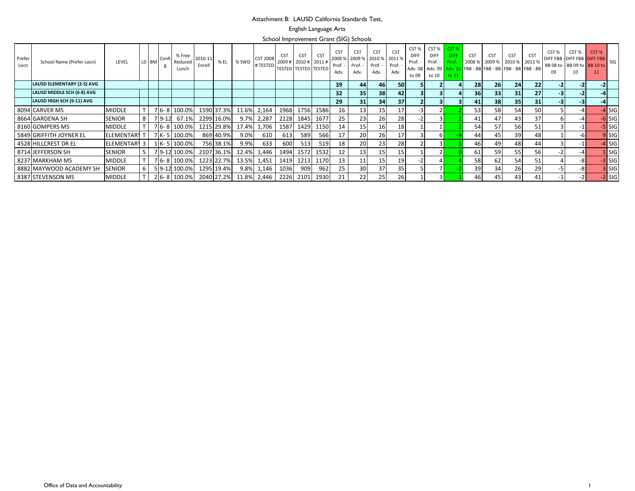#### Attachment B: LAUSD California Standards Test,

English Language Arts

School Improvement Grant (SIG) Schools

| Prefer<br>Locn | School Name (Prefer Locn)  | LEVEL               | LD BM | <b>Conf</b> | % Free<br>Reduced<br>Lunch | 2010-11<br>Enroll | % EL       | % SWD                  | <b>CST 2008</b><br>#TESTED | <b>CST</b> | CS <sub>1</sub><br>2009 # 2010 # 2011 #<br><b>TESTED TESTED TESTED</b> | <b>CST</b> | CS <sub>1</sub><br>2008 %<br>Prof.<br>Adv. | CS <sub>1</sub><br>Prof.<br>Adv. | <b>CST</b><br>2009 % 2010 %<br>Prof. -<br>Adv. | <b>CST</b><br>2011 %<br>- Prof.<br>Adv. | CST %<br><b>DIFF</b><br>Prof<br>to 09 | CST % CST %<br><b>DIFF</b><br>Prof. -<br>to 10 | <b>DIFF</b><br>Prof.<br>to 11 | <b>CST</b> | <b>CST</b><br>2008 % 2009 % 2010 % 2011 %<br>Adv. 08   Adv. 09 <mark>  Adv. 10  </mark> FBB - BB   FBB - BB   FBB - BB   FBB - BB | <b>CST</b> | <b>CST</b>      | CST %<br>DIFF FBB - DIFF FBB DIFF FBB | CST % | CST <sub>%</sub><br>BB 08 to BB 09 to BB 10 to | SIG      |
|----------------|----------------------------|---------------------|-------|-------------|----------------------------|-------------------|------------|------------------------|----------------------------|------------|------------------------------------------------------------------------|------------|--------------------------------------------|----------------------------------|------------------------------------------------|-----------------------------------------|---------------------------------------|------------------------------------------------|-------------------------------|------------|-----------------------------------------------------------------------------------------------------------------------------------|------------|-----------------|---------------------------------------|-------|------------------------------------------------|----------|
|                | LAUSD ELEMENTARY (2-5) AVG |                     |       |             |                            |                   |            |                        |                            |            |                                                                        |            | 39                                         | 44                               | 46                                             | 50                                      |                                       |                                                |                               | 28         | 26                                                                                                                                | 24         | 22              |                                       |       |                                                |          |
|                | LAUSD MIDDLE SCH (6-8) AVG |                     |       |             |                            |                   |            |                        |                            |            |                                                                        |            | 32 <sup>°</sup>                            | 35                               | 38                                             | 42                                      |                                       |                                                |                               | 36         | 33                                                                                                                                | 31         | 27 <sub>l</sub> |                                       |       |                                                |          |
|                | LAUSD HIGH SCH (9-11) AVG  |                     |       |             |                            |                   |            |                        |                            |            |                                                                        |            | 29                                         | 31                               | 34                                             | 37 <sup>1</sup>                         |                                       |                                                |                               | 41         | 38                                                                                                                                | 35         | 31              |                                       |       |                                                |          |
|                | 8094 CARVER MS             | <b>MIDDLE</b>       |       |             | 7 6-8 100.0%               |                   |            | 1590 37.3% 11.6% 2,164 |                            | 1968       |                                                                        | 1756 1586  | 16                                         | 13                               | 15                                             | 17                                      |                                       |                                                |                               | 53         | 58                                                                                                                                | 54         | 50              |                                       |       |                                                | $-4$ SIG |
|                | 8664 GARDENA SH            | <b>SENIOR</b>       | 8     | $7 9-12 $   | 67.1%                      |                   | 2299 16.0% |                        | 9.7% 2,287                 | 2128       | 1845                                                                   | 1677       | 25                                         | 23                               | 26                                             | 28                                      |                                       |                                                |                               | 41         | 47                                                                                                                                | 43         | 37              |                                       |       |                                                | $-6$ SIG |
|                | 8160 GOMPERS MS            | <b>MIDDLE</b>       |       |             | 7 6-8 100.0%               |                   | 1215 29.8% |                        | 17.4% 1,706                | 1587       | 1429                                                                   | 1150       | 14                                         | 15                               | 16                                             | 18                                      |                                       |                                                |                               | 54         | 57                                                                                                                                | 56         |                 |                                       |       |                                                | $-5$ SIG |
|                | 5849 GRIFFITH JOYNER EL    | <b>ELEMENTARY</b>   |       |             | 7 K-5 100.0%               |                   | 869 40.9%  | $9.0\%$                | 610                        | 613        | 589                                                                    | 566        | 17                                         | <b>20</b>                        | 26                                             | 17                                      |                                       |                                                |                               | 44         | 45                                                                                                                                | 39         | 48              |                                       | -61   |                                                | $9$ SIG  |
|                | 4528 HILLCREST DR EL       | <b>ELEMENTARY 3</b> |       |             | 1 K-5 100.0%               |                   | 756 38.1%  | 9.9%                   | 633                        | 600        | 513                                                                    | 519        | 18                                         | <b>20</b>                        | 23                                             | 28                                      |                                       |                                                |                               | 46         | 49                                                                                                                                | 48         | 44              |                                       |       |                                                | $-4$ SIG |
|                | 8714 JEFFERSON SH          | <b>SENIOR</b>       |       |             | 79-12 100.0%               |                   |            | 2107 36.1% 12.4% 1,446 |                            | 1494       | 1572                                                                   | 1532       | 12                                         | 13                               | 15                                             | 15                                      |                                       |                                                |                               | 61         |                                                                                                                                   | 55         | 56              |                                       |       |                                                | $1$ SIG  |
|                | 8237 MARKHAM MS            | <b>MIDDLE</b>       |       |             | 76-8 100.0%                |                   |            | 1223 22.7% 13.5% 1,451 |                            | 1419       |                                                                        | 1213 1170  | 13                                         | 11                               | 15                                             | 19                                      |                                       |                                                |                               | 58         |                                                                                                                                   | 54         | 51              |                                       | -81   |                                                | $-3$ SIG |
|                | 8882 MAYWOOD ACADEMY SH    | <b>SENIOR</b>       | 6     |             | 59-12 100.0%               |                   | 1295 19.4% |                        | 9.8% 1,146                 | 1036       | 909                                                                    | 962        | 25                                         | 30                               | 37 <sub>1</sub>                                | 35                                      |                                       |                                                |                               | 39         | 34                                                                                                                                | 26         | 29              |                                       | $-8$  |                                                | 3 SIG    |
|                | 8387 STEVENSON MS          | <b>MIDDLE</b>       |       |             | 26-8100.0%                 |                   |            | 2040 27.2% 11.8% 2,446 |                            | 2226       | 2101                                                                   | 1930       | 21                                         | 22                               | 25                                             | 26                                      |                                       |                                                |                               | 46         | 45                                                                                                                                | 43         | 41              |                                       |       |                                                | $-2$ SIG |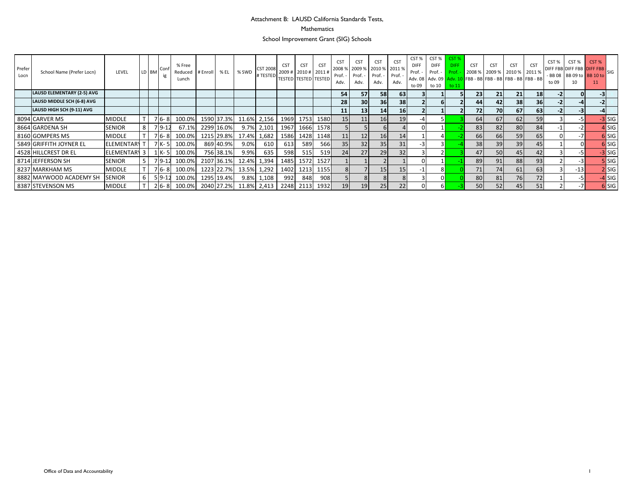## Attachment B: LAUSD California Standards Tests,

#### Mathematics

School Improvement Grant (SIG) Schools

| Prefer<br>Locn | School Name (Prefer Locn)         | LEVEL             |                | LD BM | - Conf<br>ig | % Free<br>Reduced<br>Lunch | # Enroll | % EL       | % SWD       | $\left  \begin{array}{cc} \text{CST 2008} & \text{2009} \end{array} \right  2010 \# \left  2011 \# \right $<br># TESTED | <b>CST</b> | <b>CST</b><br><b>TESTED TESTED TESTED</b> | <b>CST</b> | <b>CST</b><br>2008 %<br>Prof. -<br>Adv. | <b>CST</b><br>Prof. -<br>Adv. | <b>CST</b><br>2009 % 2010 % 2011 %<br>Prof. -<br>Adv. | CS <sub>1</sub><br>Prof. -<br>Adv. | CST%<br><b>DIFF</b><br>Prof. -<br>to 09 | CST %<br><b>DIFF</b><br>Prof. -<br>to 10 | CST <sup>o</sup><br><b>DIFF</b><br>Prof.<br>to 11 | <b>CST</b><br>2008 % | <b>CST</b>      | <b>CST</b><br>2009 % 2010 % 2011 %<br>Adv. 08   Adv. 09   Adv. 10   FBB - BB   FBB - BB   FBB - BB   FBB - BB | <b>CST</b>      | CST %<br>to 09 | CST %<br>- BB 08 BB 09 to BB 10 to | CST <sub>%</sub><br>DIFF FBB DIFF FBB DIFF FBB |          |
|----------------|-----------------------------------|-------------------|----------------|-------|--------------|----------------------------|----------|------------|-------------|-------------------------------------------------------------------------------------------------------------------------|------------|-------------------------------------------|------------|-----------------------------------------|-------------------------------|-------------------------------------------------------|------------------------------------|-----------------------------------------|------------------------------------------|---------------------------------------------------|----------------------|-----------------|---------------------------------------------------------------------------------------------------------------|-----------------|----------------|------------------------------------|------------------------------------------------|----------|
|                | <b>LAUSD ELEMENTARY (2-5) AVG</b> |                   |                |       |              |                            |          |            |             |                                                                                                                         |            |                                           |            | 54                                      | 57                            | 58                                                    | 63                                 |                                         |                                          |                                                   | 23 <sub>1</sub>      | 21              | 21                                                                                                            | <b>18</b>       |                |                                    |                                                |          |
|                | LAUSD MIDDLE SCH (6-8) AVG        |                   |                |       |              |                            |          |            |             |                                                                                                                         |            |                                           |            | 28                                      | 30 <sub>l</sub>               | 36                                                    | 38 <sup>1</sup>                    |                                         |                                          |                                                   | 44                   | 42 <sub>1</sub> | 38                                                                                                            | 36 <sup>1</sup> |                |                                    |                                                |          |
|                | LAUSD HIGH SCH (9-11) AVG         |                   |                |       |              |                            |          |            |             |                                                                                                                         |            |                                           |            | 11                                      | 13                            | 14                                                    | 16 <sup>1</sup>                    |                                         |                                          |                                                   | 72                   | 70              | 67                                                                                                            | 63              |                | $-3$                               |                                                |          |
|                | 8094 CARVER MS                    | <b>MIDDLE</b>     |                |       | $76 - 8$     | 100.0%                     |          | 1590 37.3% |             | 11.6% 2,156                                                                                                             |            | 1969 1753                                 | 1580       | 15 <sup>1</sup>                         | 11                            | 16                                                    | 19                                 |                                         |                                          |                                                   | 64                   | 67              | 62                                                                                                            | 59              |                | $-5$                               |                                                | $-3$ SIG |
|                | 8664 GARDENA SH                   | <b>SENIOR</b>     | 8 <sup>1</sup> |       | $79-12$      | 67.1%                      |          | 2299 16.0% | 9.7%        | 2,101                                                                                                                   | 1967       | 1666                                      | 1578       |                                         |                               | 6                                                     |                                    |                                         |                                          |                                                   | 83                   | 82              | 80                                                                                                            | 84              |                |                                    |                                                | 4 SIG    |
|                | 8160 GOMPERS MS                   | <b>MIDDLE</b>     |                |       | $7 6-8 $     | 100.0%                     |          | 1215 29.8% | 17.4%       | 1,682                                                                                                                   |            | 1586 1428                                 | 1148       |                                         | 12                            | 16                                                    | 14                                 |                                         |                                          |                                                   | 66                   | <b>66</b>       | 59                                                                                                            | 65              |                |                                    |                                                | 6 SIG    |
|                | 5849 GRIFFITH JOYNER EL           | <b>ELEMENTARY</b> |                |       | $7K-5$       | 100.0%                     |          | 869 40.9%  | 9.0%        | 610                                                                                                                     | 613        | 589                                       | 566        | 35 <sub>1</sub>                         | 32                            | 35                                                    | 31                                 |                                         |                                          |                                                   | 38 <sup>l</sup>      | 39              | 39                                                                                                            | 45              |                | $\Omega$                           |                                                | 6 SIG    |
|                | 4528 HILLCREST DR EL              | <b>ELEMENTARY</b> |                |       | $1$ K-5      | 100.0%                     |          | 756 38.1%  | 9.9%        | 635                                                                                                                     | 598        | 515                                       | 519        | 24                                      | 27                            | 29                                                    | 32                                 |                                         |                                          |                                                   | 47                   | <b>50</b>       | 45                                                                                                            | 42              |                | -51                                |                                                | $-3$ SIG |
|                | 8714 JEFFERSON SH                 | <b>SENIOR</b>     |                |       | $79-12$      | 100.0%                     |          | 2107 36.1% | 12.4%       | 1,394                                                                                                                   |            | 1485 1572                                 | 1527       |                                         |                               |                                                       |                                    |                                         |                                          |                                                   | 89                   | 91              | 88                                                                                                            | 93              |                | -31                                |                                                | 5 SIG    |
|                | 8237 MARKHAM MS                   | <b>MIDDLE</b>     |                |       | $76 - 8$     | 100.0%                     |          | 1223 22.7% | 13.5% 1,292 |                                                                                                                         | 1402       | 1213                                      | 1155       |                                         |                               | 15                                                    | 15                                 |                                         |                                          |                                                   | 71                   | 74              | 61                                                                                                            | 63              |                | $-13$                              |                                                | $2$ SIG  |
|                | 8882 MAYWOOD ACADEMY SH           | <b>SENIOR</b>     | <sup>6</sup>   |       | $5 9-12$     | 100.0%                     |          | 1295 19.4% | 9.8%        | 1,108                                                                                                                   | 992        | 848                                       | 908        |                                         |                               |                                                       |                                    |                                         |                                          |                                                   | 80                   | 81              | <b>76</b>                                                                                                     | 72              |                | $-5$                               |                                                | $-4$ SIG |
|                | 8387 STEVENSON MS                 | <b>MIDDLE</b>     |                |       | $2 6-8 $     | 100.0%                     |          | 2040 27.2% |             | 11.8% 2,413                                                                                                             | 2248       | 2113                                      | 1932       | 19 <sup>1</sup>                         | 19                            | 25                                                    | 22                                 |                                         |                                          |                                                   | 50                   | 52              | 45                                                                                                            | 51              |                |                                    |                                                | 6 SIG    |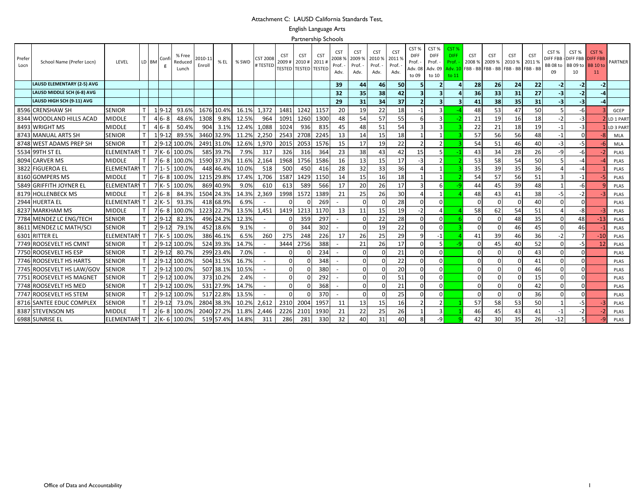#### Attachment C: LAUSD California Standards Test,

English Language Arts

Partnership Schools

| Prefer<br>Locn | School Name (Prefer Locn)         | LEVEL             |              | LD BM | Confi      | % Free<br>Reduced<br>Lunch | 2010-11<br>% EL<br>Enroll | % SWD | CST 2008<br># TESTED     | <b>CST</b><br>2009# | <b>CST</b><br>2010#<br><b>TESTED TESTED</b> | <b>CST</b><br>2011<br><b>TESTED</b> | <b>CST</b><br>2008%<br>Prof.<br>Adv. | <b>CST</b><br>2009 9<br>Prof.<br>Adv. | <b>CST</b><br>2010 %<br>Prof.<br>Adv. | <b>CST</b><br>2011 %<br>Prof.<br>Adv. | CST%<br><b>DIFF</b><br>Prof. -<br>Adv. 08<br>to 09 | CST%<br><b>DIFF</b><br>Prof. -<br>Adv. 09<br>to 10 | CST 9<br><b>DIFF</b><br>Prof.<br>\dv. 10<br>to 11 | <b>CST</b><br>2008 % | <b>CST</b><br>2009 %<br>FBB - BB FBB - BB FBB - BB FBB - BB | <b>CST</b><br>2010 % | CS <sub>1</sub><br>2011 % | CST %<br><b>DIFF FBB</b><br>BB 08 to<br>09 | CST %<br>-DIFF FBB -DIFF FBB<br>BB 09 to<br>10 | CST <sub>%</sub><br><b>BB</b> 10 to<br>11 | PARTNER     |
|----------------|-----------------------------------|-------------------|--------------|-------|------------|----------------------------|---------------------------|-------|--------------------------|---------------------|---------------------------------------------|-------------------------------------|--------------------------------------|---------------------------------------|---------------------------------------|---------------------------------------|----------------------------------------------------|----------------------------------------------------|---------------------------------------------------|----------------------|-------------------------------------------------------------|----------------------|---------------------------|--------------------------------------------|------------------------------------------------|-------------------------------------------|-------------|
|                | <b>LAUSD ELEMENTARY (2-5) AVG</b> |                   |              |       |            |                            |                           |       |                          |                     |                                             |                                     | 39                                   | 44                                    | 46                                    | 50                                    |                                                    |                                                    |                                                   | 28                   | 26                                                          | 24                   | 22                        | $-2$                                       | -2                                             | $-2$                                      |             |
|                | LAUSD MIDDLE SCH (6-8) AVG        |                   |              |       |            |                            |                           |       |                          |                     |                                             |                                     | 32                                   | 35                                    | 38                                    | 42                                    |                                                    | 3                                                  |                                                   | 36                   | 33                                                          | 31                   | 27                        | -3                                         | $-2$                                           |                                           |             |
|                | LAUSD HIGH SCH (9-11) AVG         |                   |              |       |            |                            |                           |       |                          |                     |                                             |                                     | 29                                   | 31                                    | 34                                    | 37                                    |                                                    | 3                                                  |                                                   | 41                   | 38                                                          | 35                   | 31                        | $-3$                                       | $-3$                                           | -4                                        |             |
|                | 8596 CRENSHAW SH                  | <b>SENIOR</b>     |              |       | $19-12$    | 93.69                      | 1676<br>10.4%             | 16.1% | 1,372                    | 1481                | 1242                                        | 1157                                | 20                                   | 19                                    | 22                                    | 18                                    | $-1$                                               | 3                                                  |                                                   | 48                   | 53                                                          | 47                   | 50                        | 5                                          | -6                                             |                                           | GCEP        |
|                | 8344 WOODLAND HILLS ACAD          | <b>MIDDLE</b>     |              |       | $46 - 8$   | 48.69                      | 1308<br>9.8%              | 12.5% | 964                      | 1091                | 1260                                        | 1300                                | 48                                   | 54                                    | 57                                    | 55                                    |                                                    | 3                                                  |                                                   | 21                   | 19                                                          | 16                   | 18                        | $-2$                                       | $-3$                                           |                                           | LD 1 PAR    |
|                | 8493 WRIGHT MS                    | <b>MIDDLE</b>     | $\mathsf{T}$ |       | $46 - 8$   | 50.4%                      | 904<br>3.1%               | 12.4% | 1,088                    | 1024                | 936                                         | 835                                 | 45                                   | 48                                    | 51                                    | 54                                    |                                                    | з                                                  |                                                   | 22                   | 21                                                          | 18                   | 19                        | $-1$                                       | $-3$                                           |                                           | LD 3 PAR    |
|                | 8743 MANUAL ARTS SH               | SENIOR            |              |       | $1, 9-1.2$ | 89.59                      | 3460<br>32.9%             | 11.2% | 2,250                    | 2543                | 2708                                        | 2245                                | 13                                   | 14                                    | 15                                    | 18                                    |                                                    |                                                    |                                                   | 57                   | 56                                                          | 56                   | 48                        | $-1$                                       |                                                |                                           | MLA         |
|                | 8748 WEST ADAMS PREP SH           | <b>SENIOR</b>     |              |       | $29-12$    | 100.09                     | 2491 31.0%                | 12.6% | 1,970                    | 2015                | 2053                                        | 1576                                | 15                                   | 17                                    | 19                                    | 22                                    |                                                    | $\overline{2}$                                     |                                                   | 54                   | 51                                                          | 46                   | 40                        | $-3$                                       | -5                                             | -6                                        | <b>MLA</b>  |
|                | 5534 99TH ST EL                   | <b>ELEMENTAR</b>  |              |       | 7 K-6      | 100.09                     | 585<br>39.7%              | 7.9%  | 317                      | 326                 | 316                                         | 364                                 | 23                                   | 38                                    | 43                                    | 42                                    | 15                                                 |                                                    |                                                   | 43                   | 34                                                          | 28                   | 26                        | $-9$                                       | -6                                             |                                           | <b>PLAS</b> |
|                | 8094 CARVER MS                    | <b>MIDDLE</b>     |              |       | $76 - 8$   | 100.0%                     | 1590 37.3%                | 11.6% | 2,164                    | 1968                | 1756                                        | 1586                                | 16                                   | 13                                    | 15                                    | 17                                    | $-3$                                               |                                                    |                                                   | 53                   | 58                                                          | 54                   | 50                        | 5                                          |                                                |                                           | PLAS        |
|                | 3822 FIGUEROA EL                  | <b>ELEMENTAR</b>  |              |       | $71 - 5$   | 100.0%                     | 448<br>46.4%              | 10.0% | 518                      | 500                 | 450                                         | 416                                 | 28                                   | 32                                    | 33                                    | 36                                    |                                                    |                                                    |                                                   | 35                   | 39                                                          | 35                   | 36                        |                                            |                                                |                                           | <b>PLAS</b> |
|                | 8160 GOMPERS MS                   | <b>MIDDLE</b>     |              |       | $76 - 8$   | 100.09                     | 1215 29.8%                | 17.4% | 1.706                    | 1587                | 1429                                        | 1150                                | 14                                   | 15                                    | 16                                    | 18                                    |                                                    |                                                    |                                                   | 54                   | 57                                                          | 56                   | 51                        |                                            | -1                                             | -5                                        | <b>PLAS</b> |
|                | 5849 GRIFFITH JOYNER EL           | ELEMENTAR'        |              |       | $7K-5$     | 100.0%                     | 869<br>40.9%              | 9.0%  | 610                      | 613                 | 589                                         | 566                                 | 17                                   | 20                                    | 26                                    | 17                                    |                                                    | 6                                                  |                                                   | 44                   | 45                                                          | 39                   | 48                        |                                            | -6                                             |                                           | PLAS        |
|                | 8179 HOLLENBECK MS                | <b>MIDDLE</b>     |              |       | $26 - 8$   | 84.39                      | 1504 24.3%                | 14.3% | 2,369                    | 1998                | 1572                                        | 1389                                | 21                                   | 25                                    | 26                                    | 30                                    |                                                    |                                                    |                                                   | 48                   | 43                                                          | 41                   | 38                        | $-5$                                       | -2                                             |                                           | <b>PLAS</b> |
|                | 2944 HUERTA EL                    | <b>ELEMENTARY</b> |              |       | $2K-5$     | 93.3%                      | 418 68.9%                 | 6.9%  |                          |                     | $\Omega$                                    | 269                                 |                                      | $\Omega$                              |                                       | 28                                    |                                                    | n                                                  |                                                   |                      |                                                             | $\Omega$             | 40                        | $\Omega$                                   |                                                |                                           | <b>PLAS</b> |
|                | 8237 MARKHAM MS                   | MIDDLE            |              |       | $76 - 8$   | 100.0%                     | 1223 22.7%                | 13.5% | 1,451                    | 1419                | 1213                                        | 1170                                | 13                                   | 11                                    | 15                                    | 19                                    | -2                                                 | Δ                                                  |                                                   | 58                   | 62                                                          | 54                   | 51                        |                                            | -8                                             |                                           | <b>PLAS</b> |
|                | 7784 MENDEZ LC ENG/TECH           | <b>SENIOR</b>     |              |       | $29-12$    | 82.39                      | 496<br>24.2%              | 12.3% |                          |                     | 359                                         | 297                                 |                                      | $\Omega$                              | 22                                    | 28                                    |                                                    | 0                                                  |                                                   |                      |                                                             | 48                   | 35                        | $\Omega$                                   | 48                                             | -13                                       | PLAS        |
|                | 8611 MENDEZ LC MATH/SCI           | <b>SENIOR</b>     |              |       | $2 9-12$   | 79.1%                      | 452<br>18.6%              | 9.1%  | $\sim$                   |                     | 344                                         | 302                                 | $\sim$                               | $\Omega$                              | 19                                    | 22                                    | ∩                                                  | $\Omega$                                           |                                                   |                      |                                                             | 46                   | 45                        | $\Omega$                                   | 46                                             |                                           | <b>PLAS</b> |
|                | 6301 RITTER EL                    | <b>ELEMENTARY</b> |              |       | $7K -$     | 100.0%                     | 386<br>46.1%              | 6.5%  | 260                      | 275                 | 248                                         | 226                                 | 17                                   | 26                                    | 25                                    | 29                                    |                                                    | -1                                                 |                                                   | 41                   | 39                                                          | 46                   | 36                        | $-2$                                       |                                                | $-10$                                     | PLAS        |
|                | 7749 ROOSEVELT HS CMNT            | <b>SENIOR</b>     |              |       | $29-12$    | 100.0%                     | 524<br>39.3%              | 14.7% |                          | 3444                | 2756                                        | 388                                 | $\overline{\phantom{a}}$             | 21                                    | 26                                    | 17                                    |                                                    |                                                    |                                                   |                      | 45                                                          | 40                   | 52                        | $\Omega$                                   | -5                                             | 12                                        | PLAS        |
|                | 7750 ROOSEVELT HS ESP             | <b>SENIOR</b>     |              |       | $29-12$    | 80.79                      | 299<br>23.4%              | 7.0%  | $\overline{\phantom{a}}$ |                     |                                             | 234                                 | $\sim$                               | $\Omega$                              |                                       | 21                                    |                                                    |                                                    |                                                   |                      |                                                             | $\Omega$             | 43                        | $\Omega$                                   |                                                |                                           | PLAS        |
|                | 7746 ROOSEVELT HS HARTS           | <b>SENIOR</b>     |              |       | $2 9-12$   | 100.0%                     | 504 31.5%                 | 16.7% | $\overline{\phantom{a}}$ |                     |                                             | 348                                 | $\overline{\phantom{a}}$             |                                       |                                       | 22                                    |                                                    | $\Omega$                                           |                                                   |                      |                                                             | $\Omega$             | 41                        | $\Omega$                                   | U                                              |                                           | PLAS        |
|                | 7745 ROOSEVELT HS LAW/GOV         | <b>SENIOR</b>     |              |       | $29-12$    | 100.0%                     | 507<br>38.1%              | 10.5% |                          |                     | $\Omega$                                    | 380                                 |                                      |                                       |                                       | 20                                    |                                                    | $\Omega$                                           |                                                   |                      |                                                             | $\Omega$             | 46                        | $\Omega$                                   |                                                |                                           | <b>PLAS</b> |
| 7751           | <b>ROOSEVELT HS MAGNET</b>        | <b>SENIOR</b>     |              |       | $29-12$    | 100.09                     | 373<br>10.2%              | 2.4%  |                          |                     |                                             | 292                                 |                                      |                                       |                                       | 51                                    |                                                    |                                                    |                                                   |                      |                                                             |                      | 15                        |                                            |                                                |                                           | <b>PLAS</b> |
|                | 7748 ROOSEVELT HS MED             | <b>SENIOR</b>     |              |       | $29-12$    | 100.0%                     | 531 27.9%                 | 14.7% |                          |                     | $\Omega$                                    | 368                                 | $\blacksquare$                       | $\Omega$                              |                                       | 21                                    |                                                    | $\Omega$                                           |                                                   |                      |                                                             | $\Omega$             | 42                        | $\Omega$                                   |                                                |                                           | <b>PLAS</b> |
|                | 7747 ROOSEVELT HS STEM            | <b>SENIOR</b>     |              |       | $29-12$    | 100.0%                     | 517<br>22.8%              | 13.5% |                          |                     |                                             | 370                                 | $\sim$                               | $\Omega$                              |                                       | 25                                    |                                                    | U                                                  |                                                   |                      |                                                             | $\Omega$             | 36                        | $\Omega$                                   |                                                |                                           | <b>PLAS</b> |
|                | 8716 SANTEE EDUC COMPLEX          | <b>SENIOR</b>     | $\mathsf{T}$ |       | $29-12$    | 73.0%                      | 38.3%<br>2804             | 10.2% | 2,612                    | 2310                | 2004                                        | 1957                                | 11                                   | 13                                    | 15                                    | 16                                    |                                                    | $\overline{2}$                                     |                                                   | 57                   | 58                                                          | 53                   | 50                        |                                            | -5                                             |                                           | PLAS        |
|                | 8387 STEVENSON MS                 | <b>MIDDLE</b>     |              |       | $26 - 8$   | 100.09                     | 2040<br>27.2%             | 11.8% | 2.446                    | 2226                | 2101                                        | 1930                                | 21                                   | 22                                    | 25                                    | 26                                    |                                                    | 3                                                  |                                                   | 46                   | 45                                                          | 43                   | 41                        |                                            | -2                                             |                                           | <b>PLAS</b> |
|                | 6988 SUNRISE EL                   | ELEMENTAR         |              |       | $2K-6$     | 100.0%                     | 519 57.4%                 | 14.8% | 311                      | 286                 | 281                                         | 330                                 | 32                                   | 40                                    | 31                                    | 40                                    |                                                    | -9                                                 |                                                   | 42                   | 30                                                          | 35                   | 26                        | $-12$                                      | 5.                                             |                                           | PLAS        |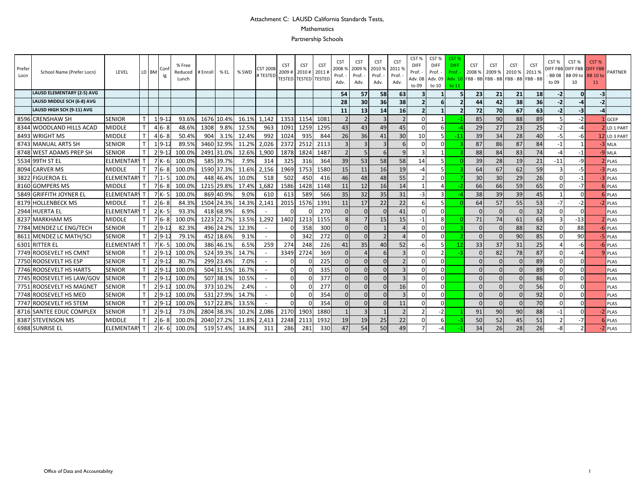## Attachment C: LAUSD California Standards Tests,

#### Mathematics

Partnership Schools

| Prefer<br>Locn | School Name (Prefer Locn)         | LEVEL             |              | LD BM          | Con          | % Free<br>Reduced<br>Lunch | # Enroll | % EL       | % SWD | CST 200<br><b>‡TESTEI</b> | <b>CST</b><br>2009# | <b>CST</b><br>2010#<br>TESTED   TESTED   TESTEI | <b>CST</b><br>2011 | <b>CST</b><br>20089<br>Prof.<br>Adv. | <b>CST</b><br>2009<br>Prof.<br>Adv. | <b>CST</b><br>2010%<br>Prof. -<br>Adv. | <b>CST</b><br>20119<br>Prof.<br>Adv. | CST <sub>%</sub><br><b>DIFF</b><br>Prof.<br>Adv. 08<br>to 09 | CST %<br><b>DIFF</b><br>Prof.<br>Adv. 09<br>to 10 | CST <sub>%</sub><br><b>DIFF</b><br>Prof.<br>Adv. 10<br>to 11 | <b>CST</b><br>2008 % | <b>CST</b><br>2009 %<br>FBB - BB FBB - BB FBB - BB FBB - BB | <b>CST</b><br>2010 % | <b>CST</b><br>2011 % | CST %<br><b>BB08</b><br>to 09 | CST%<br>DIFF FBB DIFF FBB DIFF FBB<br>BB 09 to <b>BB 10 to</b><br>10 | CST%<br>11 | <b>PARTNER</b>   |
|----------------|-----------------------------------|-------------------|--------------|----------------|--------------|----------------------------|----------|------------|-------|---------------------------|---------------------|-------------------------------------------------|--------------------|--------------------------------------|-------------------------------------|----------------------------------------|--------------------------------------|--------------------------------------------------------------|---------------------------------------------------|--------------------------------------------------------------|----------------------|-------------------------------------------------------------|----------------------|----------------------|-------------------------------|----------------------------------------------------------------------|------------|------------------|
|                | <b>LAUSD ELEMENTARY (2-5) AVG</b> |                   |              |                |              |                            |          |            |       |                           |                     |                                                 |                    | 54                                   | 57                                  | 58                                     | 63                                   | 3                                                            |                                                   |                                                              | 23                   | 21                                                          | 21                   | 18                   | $-2$                          |                                                                      |            |                  |
|                | LAUSD MIDDLE SCH (6-8) AVG        |                   |              |                |              |                            |          |            |       |                           |                     |                                                 |                    | 28                                   | 30                                  | 36                                     | 38                                   | $\overline{2}$                                               |                                                   |                                                              | 44                   | 42                                                          | 38                   | 36 <sup>1</sup>      | $-2$                          |                                                                      |            |                  |
|                | LAUSD HIGH SCH (9-11) AVG         |                   |              |                |              |                            |          |            |       |                           |                     |                                                 |                    | 11                                   | 13                                  | 14                                     | 16                                   | $\overline{2}$                                               |                                                   |                                                              | 72                   | 70                                                          | 67                   | 63                   | $-2$                          | -3                                                                   |            |                  |
|                | 8596 CRENSHAW SH                  | <b>SENIOR</b>     | $\mathsf{T}$ |                | $1, 9 - 1$   | 93.6%                      | 1676     | 10.4%      | 16.1% | 1,142                     | 1353                | 1154                                            | 1081               | $\overline{2}$                       | $\overline{2}$                      |                                        | $\overline{2}$                       | $\Omega$                                                     |                                                   |                                                              | 85                   | 90                                                          | 88                   | 89                   |                               | $-2$                                                                 |            | <b>GCEP</b>      |
|                | 8344 WOODLAND HILLS ACAD          | <b>MIDDLE</b>     | $\mathsf{T}$ |                | $46 - 8$     | 48.6%                      | 1308     | 9.8%       | 12.5% | 963                       | 1091                | 1259                                            | 1295               | 43                                   | 43                                  | 49                                     | 45                                   | $\Omega$                                                     |                                                   |                                                              | 29                   | 27                                                          | 23                   | 25                   | $-2$                          | $-4$                                                                 |            | <b>LD 1 PART</b> |
|                | 8493 WRIGHT MS                    | <b>MIDDLE</b>     | $\mathsf{T}$ |                | $46 - 8$     | 50.4%                      | 904      | 3.1%       | 12.4% | 992                       | 1024                | 935                                             | 844                | 26                                   | 36                                  | 41                                     | 30                                   | 10                                                           |                                                   | $-11$                                                        | 39                   | 34                                                          | 28                   | 40                   | -5                            | -6                                                                   |            | 12 LD 3 PART     |
|                | 8743 MANUAL ARTS SH               | <b>SENIOR</b>     |              |                | $1 \, 9 - 1$ | 89.5%                      | 3460     | 32.9%      | 11.2% | 2,026                     | 2372                | 2512                                            | 2113               | 3                                    |                                     |                                        |                                      | $\Omega$                                                     |                                                   |                                                              | 87                   | 86                                                          | 87                   | 84                   | $-1$                          |                                                                      |            | $3$ MLA          |
|                | 8748 WEST ADAMS PREP SH           | <b>SENIOR</b>     |              |                | $29-12$      | 100.0%                     | 2491     | 31.0%      | 12.6% | 1,900                     | 1878                | 1824                                            | 1487               | $\overline{2}$                       | 5                                   | 6                                      | 9                                    |                                                              |                                                   |                                                              | 88                   | 84                                                          | 83                   | 74                   | $-4$                          | -1                                                                   |            | $-9$ MLA         |
|                | 5534 99TH ST EL                   | <b>ELEMENTAR</b>  |              |                | 7 K-6        | 100.0%                     | 585      | 39.7%      | 7.9%  | 314                       | 325                 | 316                                             | 364                | 39                                   | 53                                  | 58                                     | 58                                   | 14                                                           |                                                   |                                                              | 39                   | 28                                                          | 19                   | 21                   | $-11$                         | -9                                                                   |            | <b>2</b> PLAS    |
|                | 8094 CARVER MS                    | <b>MIDDLE</b>     |              |                | $76 - 8$     | 100.0%                     |          | 1590 37.3% | 11.6% | 2,156                     | 1969                | 1753                                            | 1580               | 15                                   | 11                                  | 16                                     | 19                                   |                                                              |                                                   |                                                              | 64                   | 67                                                          | 62                   | 59                   |                               | -5                                                                   |            | $-3$ PLAS        |
|                | 3822 FIGUEROA EL                  | <b>ELEMENTARY</b> |              | 7 <sup>1</sup> |              | 100.0%                     | 448      | 46.4%      | 10.0% | 518                       | 502                 | 450                                             | 416                | 46                                   | 48                                  | 48                                     | 55                                   |                                                              |                                                   |                                                              | 30                   | 30                                                          | 29                   | 26                   | $\mathbf 0$                   | $-1$                                                                 |            | -3 PLAS          |
|                | 8160 GOMPERS MS                   | MIDDLE            |              |                | $76 - 8$     | 100.0%                     | 1215     | 29.8%      | 17.4% | 1,682                     | 1586                | 1428                                            | 1148               | 11                                   | 12                                  | 16                                     | 14                                   |                                                              |                                                   |                                                              | 66                   | 66                                                          | 59                   | 65                   | $\Omega$                      | $-7$                                                                 |            | <b>6 PLAS</b>    |
|                | 5849 GRIFFITH JOYNER EL           | <b>ELEMENTAR</b>  |              |                | $7K-5$       | 100.0%                     | 869      | 40.9%      | 9.0%  | 610                       | 613                 | 589                                             | 566                | 35                                   | 32                                  | 35                                     | 31                                   | $-3$                                                         |                                                   |                                                              | 38                   | 39                                                          | 39                   | 45                   |                               | <sup>0</sup>                                                         |            | <b>6 PLAS</b>    |
|                | 8179 HOLLENBECK MS                | <b>MIDDLE</b>     |              |                | $26 - 8$     | 84.3%                      |          | 1504 24.3% | 14.3% | 2,141                     | 2015                | 1576                                            | 1391               | 11                                   | 17                                  | 22                                     | 22                                   | 6                                                            |                                                   |                                                              | 64                   | 57                                                          | 55                   | 53                   | $-7$                          | $-2$                                                                 |            | $-2$ PLAS        |
|                | 2944 HUERTA EL                    | <b>ELEMENTARY</b> |              |                | $2K - 5$     | 93.3%                      |          | 418 68.9%  | 6.9%  |                           | n                   |                                                 | 270                | $\Omega$                             | $\Omega$                            |                                        | 41                                   | $\Omega$                                                     | <sup>n</sup>                                      |                                                              | $\Omega$             |                                                             | $\Omega$             | 32                   | $\Omega$                      | <sup>0</sup>                                                         |            | PLAS             |
|                | 8237 MARKHAM MS                   | MIDDLE            |              |                | $76 - 8$     | 100.0%                     | 1223     | 22.7%      | 13.5% | 1,292                     | 1402                | 1213                                            | 1155               | 8                                    |                                     | 15                                     | 15                                   | $-1$                                                         | 8                                                 |                                                              | 71                   | 74                                                          | 61                   | 63                   | 3                             | $-13$                                                                |            | <b>2</b> PLAS    |
|                | 7784 MENDEZ LC ENG/TECH           | <b>SENIOR</b>     |              |                | $29-1$       | 82.3%                      |          | 496 24.2%  | 12.3% |                           |                     | 358                                             | 300                | $\mathbf{0}$                         | $\Omega$                            |                                        | $\Delta$                             | $\Omega$                                                     |                                                   |                                                              | $\Omega$             |                                                             | 88                   | 82                   | $\Omega$                      | 88                                                                   |            | <b>6 PLAS</b>    |
|                | 8611 MENDEZ LC MATH/SCI           | <b>SENIOR</b>     | $\mathsf{T}$ |                | $29-12$      | 79.1%                      |          | 452 18.6%  | 9.1%  | $\sim$                    |                     | 342                                             | 272                | $\Omega$                             | $\Omega$                            | $\mathcal{P}$                          | $\Delta$                             | $\Omega$                                                     | ΩI                                                |                                                              | $\Omega$             |                                                             | 90                   | 85                   | $\Omega$                      | 90                                                                   |            | $-5$ PLAS        |
| 6301           | <b>RITTER EL</b>                  | <b>ELEMENTARY</b> |              |                | $7K -$       | 100.0%                     | 386      | 46.1%      | 6.5%  | 259                       | 274                 | 248                                             | 226                | 41                                   | 35                                  | 40                                     | 52                                   | -6                                                           |                                                   |                                                              | 33                   | 37                                                          | 31                   | 25                   |                               |                                                                      |            | -6 PLAS          |
|                | 7749 ROOSEVELT HS CMNT            | <b>SENIOR</b>     |              |                | $29-12$      | 100.0%                     | 524      | 39.3%      | 14.7% | $\overline{\phantom{a}}$  | 3349                | 2724                                            | 369                | $\Omega$                             |                                     |                                        | $\overline{3}$                       | $\Omega$                                                     |                                                   |                                                              | C                    | 82                                                          | 78                   | 87                   | $\Omega$                      | -4                                                                   |            | <b>9 PLAS</b>    |
| 7750           | <b>ROOSEVELT HS ESP</b>           | <b>SENIOR</b>     |              |                | $29-1$       | 80.7%                      | 299      | 23.4%      | 7.0%  | $\overline{\phantom{a}}$  | n                   |                                                 | 225                | $\Omega$                             | $\Omega$                            |                                        |                                      | $\Omega$                                                     |                                                   |                                                              | $\Omega$             |                                                             | $\Omega$             | 89                   | $\Omega$                      |                                                                      |            | <b>PLAS</b>      |
| 7746           | <b>ROOSEVELT HS HARTS</b>         | <b>SENIOR</b>     | $\mathsf{T}$ |                | $29-12$      | 100.0%                     |          | 504 31.5%  | 16.7% | $\overline{\phantom{a}}$  | $\Omega$            |                                                 | 335                | $\Omega$                             | $\Omega$                            |                                        | $\overline{\mathbf{3}}$              | $\Omega$                                                     | ΩI                                                |                                                              | $\Omega$             |                                                             | $\Omega$             | 89                   | $\Omega$                      | $\Omega$                                                             |            | <b>PLAS</b>      |
|                | 7745 ROOSEVELT HS LAW/GOV         | <b>SENIOR</b>     | $\mathsf{T}$ |                | $29-1$       | 100.0%                     | 507      | 38.1%      | 10.5% | $\overline{\phantom{a}}$  | $\Omega$            |                                                 | 377                | $\Omega$                             | $\Omega$                            |                                        | $\overline{\mathbf{3}}$              | $\Omega$                                                     | ΩI                                                |                                                              | $\Omega$             |                                                             | $\Omega$             | 86                   | $\Omega$                      | <sup>0</sup>                                                         |            | <b>PLAS</b>      |
| 7751           | ROOSEVELT HS MAGNET               | <b>SENIOR</b>     |              |                | $29-12$      | 100.0%                     |          | 373 10.2%  | 2.4%  |                           | <sup>0</sup>        |                                                 | 277                | $\Omega$                             | $\Omega$                            |                                        | 16                                   | $\Omega$                                                     | ΩI                                                |                                                              | 0                    |                                                             | $\Omega$             | 56                   | $\Omega$                      |                                                                      |            | <b>PLAS</b>      |
|                | 7748 ROOSEVELT HS MED             | <b>SENIOR</b>     |              |                | $29-1$       | 100.0%                     | 531      | 27.9%      | 14.7% | $\overline{\phantom{a}}$  | n                   |                                                 | 354                | $\Omega$                             | $\Omega$                            |                                        | 3                                    | $\Omega$                                                     |                                                   |                                                              | $\Omega$             |                                                             | $\Omega$             | 92                   | $\Omega$                      |                                                                      |            | <b>PLAS</b>      |
|                | 7747 ROOSEVELT HS STEM            | <b>SENIOR</b>     |              |                | $2 9-12$     | 100.0%                     | 517      | 22.8%      | 13.5% | $\overline{\phantom{a}}$  | $\Omega$            |                                                 | 354                | $\Omega$                             | $\Omega$                            |                                        | 11                                   | $\Omega$                                                     | nΙ                                                |                                                              | $\Omega$             |                                                             | $\Omega$             | 70                   | $\Omega$                      |                                                                      |            | <b>PLAS</b>      |
|                | 8716 SANTEE EDUC COMPLEX          | <b>SENIOR</b>     |              |                | $29-1$       | 73.0%                      | 2804     | 38.3%      | 10.2% | 2,086                     | 2170                | 1903                                            | 1880               |                                      |                                     |                                        |                                      |                                                              |                                                   |                                                              | 91                   | 90                                                          | 90                   | 88                   | $-1$                          | <sup>0</sup>                                                         |            | 2 PLAS           |
|                | 8387 STEVENSON MS                 | <b>MIDDLE</b>     |              |                | $26 - 8$     | 100.0%                     | 2040     | 27.2%      | 11.8% | 2,413                     | 2248                | 2113                                            | 1932               | 19                                   | 19                                  | 25                                     | 22                                   | $\Omega$                                                     |                                                   |                                                              | 50                   | 52                                                          | 45                   | 51                   |                               | $-7$                                                                 |            | <b>6 PLAS</b>    |
|                | 6988 SUNRISE EL                   | <b>ELEMENTAR</b>  |              |                | $2K-6$       | 100.0%                     |          | 519 57.4%  | 14.8% | 311                       | 286                 | 281                                             | 330                | 47                                   | 54                                  | 50                                     | 49                                   |                                                              |                                                   |                                                              | 34                   | 26                                                          | 28                   | 26                   | -8                            |                                                                      |            | -2 PLAS          |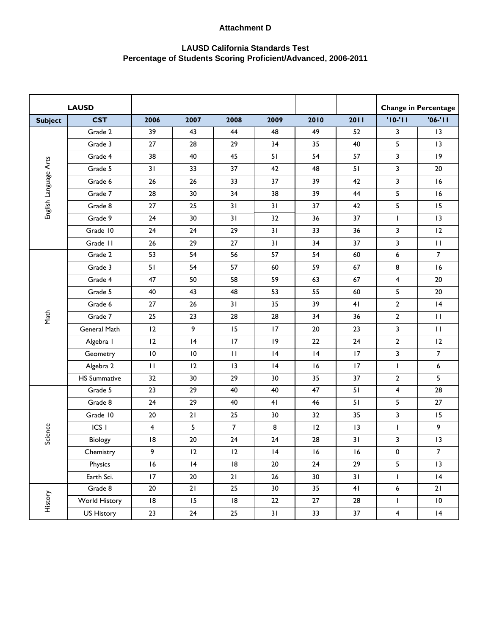|                       | <b>LAUSD</b>        |                         |               |                |      |            |            |                         | <b>Change in Percentage</b> |
|-----------------------|---------------------|-------------------------|---------------|----------------|------|------------|------------|-------------------------|-----------------------------|
| <b>Subject</b>        | <b>CST</b>          | 2006                    | 2007          | 2008           | 2009 | 2010       | 2011       | $'10-'11$               | $'06-'11$                   |
|                       | Grade 2             | 39                      | 43            | 44             | 48   | 49         | 52         | 3                       | 13                          |
|                       | Grade 3             | 27                      | 28            | 29             | 34   | 35         | 40         | 5                       | 13                          |
|                       | Grade 4             | 38                      | 40            | 45             | 51   | 54         | 57         | 3                       | 9                           |
| English Language Arts | Grade 5             | 31                      | 33            | 37             | 42   | 48         | 51         | 3                       | 20                          |
|                       | Grade 6             | 26                      | 26            | 33             | 37   | 39         | 42         | 3                       | 16                          |
|                       | Grade 7             | 28                      | 30            | 34             | 38   | 39         | 44         | 5                       | 16                          |
|                       | Grade 8             | $27\,$                  | 25            | 31             | 31   | 37         | 42         | 5                       | 15                          |
|                       | Grade 9             | 24                      | 30            | 31             | 32   | 36         | 37         | L                       | 13                          |
|                       | Grade 10            | 24                      | 24            | 29             | 31   | 33         | 36         | 3                       | 12                          |
|                       | Grade II            | 26                      | 29            | $27\,$         | 31   | 34         | 37         | 3                       | $\mathbf{H}$                |
|                       | Grade 2             | 53                      | 54            | 56             | 57   | 54         | 60         | 6                       | $\overline{7}$              |
|                       | Grade 3             | 51                      | 54            | 57             | 60   | 59         | 67         | 8                       | 16                          |
|                       | Grade 4             | 47                      | 50            | 58             | 59   | 63         | 67         | $\overline{\mathbf{4}}$ | 20                          |
|                       | Grade 5             | 40                      | 43            | 48             | 53   | 55         | 60         | 5                       | 20                          |
|                       | Grade 6             | $27\,$                  | 26            | 31             | 35   | 39         | 41         | $\mathbf{2}$            | 4                           |
| Math                  | Grade 7             | 25                      | 23            | 28             | 28   | 34         | 36         | $\mathbf{2}$            | $\mathbf{H}$                |
|                       | General Math        | 12                      | 9             | 15             | 17   | 20         | 23         | 3                       | $\mathbf{H}$                |
|                       | Algebra I           | 12                      | 4             | 17             | 9    | $22\,$     | 24         | $\mathbf{2}$            | 12                          |
|                       | Geometry            | $\mathsf{I0}$           | $\mathsf{I}0$ | $\mathbf{H}$   | 4    | 4          | 17         | 3                       | $\overline{7}$              |
|                       | Algebra 2           | $\mathbf{H}$            | 12            | 3              | 4    | 16         | 17         | I                       | 6                           |
|                       | <b>HS Summative</b> | 32                      | 30            | 29             | 30   | 35         | 37         | $\mathbf{2}$            | 5                           |
|                       | Grade 5             | 23                      | 29            | 40             | 40   | 47         | 51         | $\overline{\mathbf{4}}$ | $\overline{28}$             |
|                       | Grade 8             | 24                      | 29            | 40             | 41   | 46         | 51         | 5                       | 27                          |
|                       | Grade 10            | $20\,$                  | $21$          | 25             | 30   | 32         | 35         | 3                       | 15                          |
|                       | ICS <sub>I</sub>    | $\overline{\mathbf{4}}$ | 5             | $\overline{7}$ | 8    | 12         | 3          | L                       | 9                           |
| Science               | Biology             | 8                       | 20            | 24             | 24   | 28         | 31         | 3                       | 13                          |
|                       | Chemistry           | 9                       | 12            | 12             | 4    | $\sqrt{6}$ | $\sqrt{6}$ | $\pmb{0}$               | $\overline{7}$              |
|                       | Physics             | 16                      | 4             | 8              | 20   | 24         | 29         | 5                       | 3                           |
|                       | Earth Sci.          | 17                      | 20            | 21             | 26   | 30         | 31         | L                       | 4                           |
|                       | Grade 8             | 20                      | 21            | 25             | 30   | 35         | 41         | $\boldsymbol{6}$        | 21                          |
| History               | World History       | 8                       | 15            | 8              | 22   | 27         | 28         | L                       | $\overline{10}$             |
|                       | <b>US History</b>   | 23                      | 24            | 25             | 31   | 33         | 37         | $\overline{\mathbf{4}}$ | 4                           |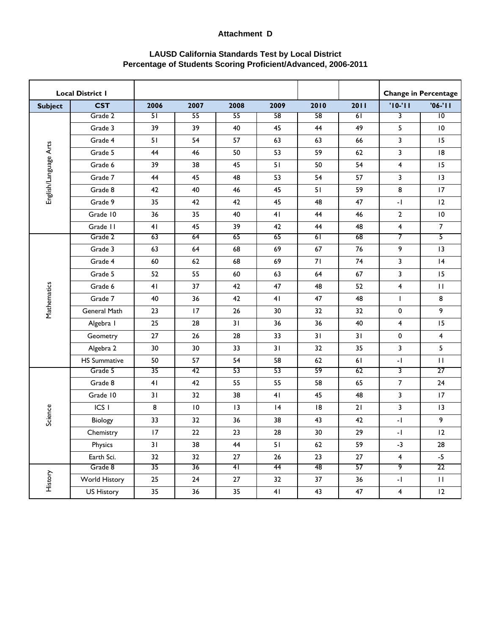| <b>Local District I</b> |                     |      |                 |                |      |      |      |                          | <b>Change in Percentage</b> |
|-------------------------|---------------------|------|-----------------|----------------|------|------|------|--------------------------|-----------------------------|
| <b>Subject</b>          | <b>CST</b>          | 2006 | 2007            | 2008           | 2009 | 2010 | 2011 | $'10-'11$                | $'06-'11$                   |
|                         | Grade 2             | 51   | 55              | 55             | 58   | 58   | 61   | $\overline{\mathbf{3}}$  | $\overline{10}$             |
|                         | Grade 3             | 39   | 39              | 40             | 45   | 44   | 49   | 5                        | $\overline{10}$             |
|                         | Grade 4             | 51   | 54              | 57             | 63   | 63   | 66   | 3                        | 15                          |
|                         | Grade 5             | 44   | 46              | 50             | 53   | 59   | 62   | 3                        | 18                          |
|                         | Grade 6             | 39   | 38              | 45             | 51   | 50   | 54   | 4                        | 15                          |
| English/Language Arts   | Grade 7             | 44   | 45              | 48             | 53   | 54   | 57   | 3                        | 3                           |
|                         | Grade 8             | 42   | 40              | 46             | 45   | 51   | 59   | 8                        | 17                          |
|                         | Grade 9             | 35   | 42              | 42             | 45   | 48   | 47   | $\sim$ [                 | 12                          |
|                         | Grade 10            | 36   | 35              | 40             | 41   | 44   | 46   | $\overline{2}$           | $\overline{10}$             |
|                         | Grade II            | 41   | 45              | 39             | 42   | 44   | 48   | $\overline{\mathbf{4}}$  | $\overline{7}$              |
|                         | Grade 2             | 63   | 64              | 65             | 65   | 61   | 68   | 7                        | 5                           |
|                         | Grade 3             | 63   | 64              | 68             | 69   | 67   | 76   | 9                        | 13                          |
|                         | Grade 4             | 60   | 62              | 68             | 69   | 71   | 74   | 3                        | 4                           |
|                         | Grade 5             | 52   | 55              | 60             | 63   | 64   | 67   | 3                        | 15                          |
|                         | Grade 6             | 41   | 37              | 42             | 47   | 48   | 52   | 4                        | $\mathbf{H}$                |
| Mathematics             | Grade 7             | 40   | 36              | 42             | 41   | 47   | 48   | L                        | 8                           |
|                         | General Math        | 23   | 17              | 26             | 30   | 32   | 32   | 0                        | 9                           |
|                         | Algebra I           | 25   | 28              | 31             | 36   | 36   | 40   | 4                        | 15                          |
|                         | Geometry            | 27   | 26              | 28             | 33   | 31   | 31   | 0                        | 4                           |
|                         | Algebra 2           | 30   | 30              | 33             | 31   | 32   | 35   | 3                        | 5                           |
|                         | <b>HS Summative</b> | 50   | 57              | 54             | 58   | 62   | 61   | $-1$                     | $\mathbf{H}$                |
|                         | Grade 5             | 35   | 42              | 53             | 53   | 59   | 62   | 3                        | 27                          |
|                         | Grade 8             | 41   | 42              | 55             | 55   | 58   | 65   | $\overline{7}$           | 24                          |
|                         | Grade 10            | 31   | 32              | 38             | 41   | 45   | 48   | 3                        | 17                          |
|                         | ICS <sub>I</sub>    | 8    | $\overline{10}$ | 13             | 4    | 8    | 21   | 3                        | 3                           |
| Science                 | Biology             | 33   | 32              | 36             | 38   | 43   | 42   | $\overline{\phantom{a}}$ | 9                           |
|                         | Chemistry           | 17   | 22              | 23             | 28   | 30   | 29   | $\mathbf{-}$ [           | 12                          |
|                         | Physics             | 31   | 38              | 44             | 51   | 62   | 59   | $-3$                     | 28                          |
|                         | Earth Sci.          | 32   | 32              | 27             | 26   | 23   | 27   | $\overline{\mathbf{4}}$  | $-5$                        |
|                         | Grade 8             | 35   | 36              | 4 <sup>1</sup> | 44   | 48   | 57   | 9                        | 22                          |
| History                 | World History       | 25   | 24              | 27             | 32   | 37   | 36   | -1                       | $\mathbf{H}$                |
|                         | US History          | 35   | 36              | 35             | 41   | 43   | 47   | $\overline{\mathbf{4}}$  | 12                          |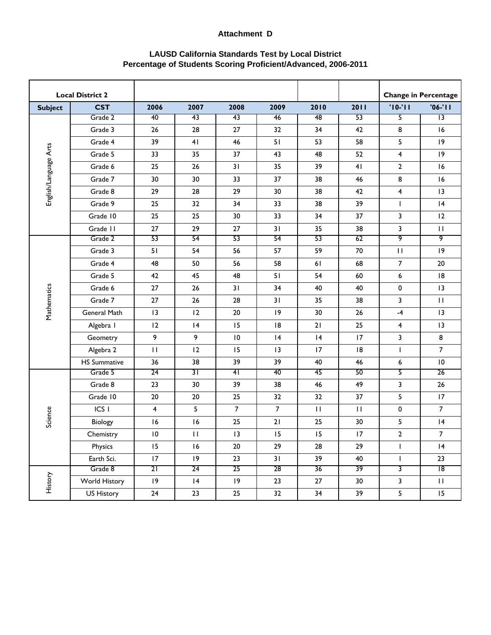| <b>Local District 2</b> |                     |                          |              |                 |                |              |              |                         | <b>Change in Percentage</b> |
|-------------------------|---------------------|--------------------------|--------------|-----------------|----------------|--------------|--------------|-------------------------|-----------------------------|
| <b>Subject</b>          | <b>CST</b>          | 2006                     | 2007         | 2008            | 2009           | 2010         | 2011         | $'10-'11$               | $'06-'11$                   |
|                         | Grade 2             | 40                       | 43           | 43              | 46             | 48           | 53           | 5                       | $\overline{13}$             |
|                         | Grade 3             | 26                       | 28           | 27              | 32             | 34           | 42           | 8                       | 16                          |
|                         | Grade 4             | 39                       | 41           | 46              | 51             | 53           | 58           | 5                       | 9                           |
|                         | Grade 5             | 33                       | 35           | 37              | 43             | 48           | 52           | 4                       | 9                           |
| English/Language Arts   | Grade 6             | 25                       | 26           | 31              | 35             | 39           | 41           | $\mathbf{2}$            | 16                          |
|                         | Grade 7             | 30                       | 30           | 33              | 37             | 38           | 46           | 8                       | 16                          |
|                         | Grade 8             | 29                       | 28           | 29              | 30             | 38           | 42           | 4                       | 3                           |
|                         | Grade 9             | 25                       | 32           | 34              | 33             | 38           | 39           | $\mathsf{I}$            | 4                           |
|                         | Grade 10            | 25                       | 25           | 30              | 33             | 34           | 37           | 3                       | 12                          |
|                         | Grade II            | $27\,$                   | 29           | $27\,$          | 31             | 35           | 38           | 3                       | $\mathbf{H}$                |
|                         | Grade 2             | 53                       | 54           | 53              | 54             | 53           | 62           | 9                       | 9                           |
|                         | Grade 3             | 51                       | 54           | 56              | 57             | 59           | 70           | $\mathbf{H}$            | 9                           |
|                         | Grade 4             | 48                       | 50           | 56              | 58             | 61           | 68           | $\overline{7}$          | 20                          |
|                         | Grade 5             | 42                       | 45           | 48              | 51             | 54           | 60           | 6                       | 18                          |
|                         | Grade 6             | 27                       | 26           | 31              | 34             | 40           | 40           | 0                       | 13                          |
|                         | Grade 7             | 27                       | 26           | 28              | 31             | 35           | 38           | 3                       | $\mathbf{H}$                |
| Mathematics             | General Math        | 3                        | 12           | 20              | 9              | 30           | 26           | $-4$                    | 3                           |
|                         | Algebra I           | 12                       | 4            | 15              | 8              | 21           | 25           | 4                       | 3                           |
|                         | Geometry            | 9                        | 9            | $\overline{10}$ | 4              | 4            | 17           | 3                       | 8                           |
|                         | Algebra 2           | $\mathbf{H}$             | 12           | 15              | 13             | 17           | 18           | $\mathbf{I}$            | $\overline{7}$              |
|                         | <b>HS Summative</b> | 36                       | 38           | 39              | 39             | 40           | 46           | 6                       | $\,$ l $\,$                 |
|                         | Grade 5             | 24                       | 31           | 41              | 40             | 45           | 50           | 5                       | 26                          |
|                         | Grade 8             | 23                       | 30           | 39              | 38             | 46           | 49           | 3                       | $26\,$                      |
|                         | Grade 10            | $20\,$                   | 20           | 25              | 32             | 32           | 37           | 5                       | 17                          |
|                         | ICS <sub>I</sub>    | $\overline{4}$           | 5            | $\overline{7}$  | $\overline{7}$ | $\mathbf{H}$ | $\mathbf{H}$ | 0                       | $\overline{7}$              |
| Science                 | Biology             | 16                       | 16           | 25              | 21             | 25           | 30           | 5                       | 4                           |
|                         | Chemistry           | $\mathsf{I}\,\mathsf{O}$ | $\mathbf{H}$ | 13              | 15             | 15           | 17           | $\overline{2}$          | $\overline{7}$              |
|                         | Physics             | 15                       | 16           | $20\,$          | 29             | 28           | 29           | $\mathbf{I}$            | 4                           |
|                         | Earth Sci.          | 17                       | $ 9\rangle$  | 23              | 31             | 39           | 40           | $\mathsf{I}$            | 23                          |
|                         | Grade 8             | 21                       | 24           | 25              | 28             | 36           | 39           | $\overline{\mathbf{3}}$ | 18                          |
| History                 | World History       | $ 9\rangle$              | 4            | 9               | 23             | 27           | 30           | $\mathbf{3}$            | $\mathbf{H}$                |
|                         | <b>US History</b>   | 24                       | 23           | 25              | 32             | 34           | 39           | 5                       | 15                          |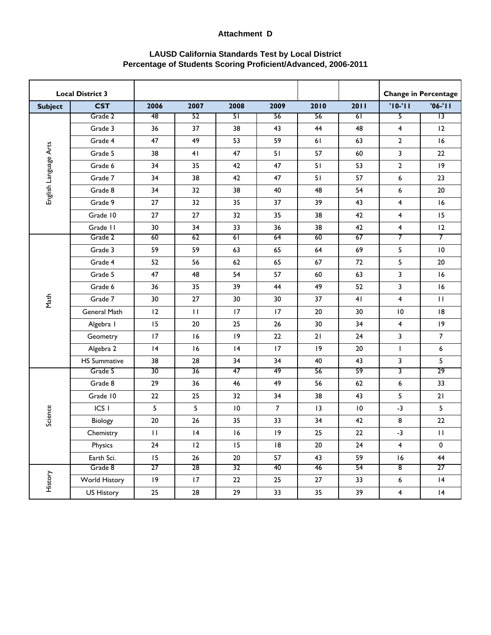| <b>Local District 3</b> |                     |                  |              |                 |                |                 |                 |                         | <b>Change in Percentage</b> |
|-------------------------|---------------------|------------------|--------------|-----------------|----------------|-----------------|-----------------|-------------------------|-----------------------------|
| <b>Subject</b>          | <b>CST</b>          | 2006             | 2007         | 2008            | 2009           | 2010            | 2011            | $'10-'11$               | $'06-'11$                   |
|                         | Grade 2             | 48               | 52           | 51              | 56             | 56              | 61              | 5                       | $\overline{13}$             |
|                         | Grade 3             | 36               | 37           | 38              | 43             | 44              | 48              | 4                       | 12                          |
|                         | Grade 4             | 47               | 49           | 53              | 59             | 61              | 63              | $\mathbf 2$             | 16                          |
| English Language Arts   | Grade 5             | 38               | 41           | 47              | 51             | 57              | 60              | 3                       | 22                          |
|                         | Grade 6             | 34               | 35           | 42              | 47             | 51              | 53              | $\mathbf 2$             | $ 9\rangle$                 |
|                         | Grade 7             | 34               | 38           | 42              | 47             | 51              | 57              | 6                       | 23                          |
|                         | Grade 8             | 34               | 32           | 38              | 40             | 48              | 54              | 6                       | 20                          |
|                         | Grade 9             | 27               | 32           | 35              | 37             | 39              | 43              | $\overline{\mathbf{4}}$ | 16                          |
|                         | Grade 10            | 27               | 27           | 32              | 35             | 38              | 42              | 4                       | 15                          |
|                         | Grade II            | 30               | 34           | 33              | 36             | 38              | 42              | 4                       | 12                          |
|                         | Grade 2             | 60               | 62           | 61              | 64             | 60              | 67              | 7                       | 7                           |
|                         | Grade 3             | 59               | 59           | 63              | 65             | 64              | 69              | 5                       | $\overline{10}$             |
|                         | Grade 4             | 52               | 56           | 62              | 65             | 67              | 72              | 5                       | 20                          |
|                         | Grade 5             | 47               | 48           | 54              | 57             | 60              | 63              | 3                       | 16                          |
|                         | Grade 6             | 36               | 35           | 39              | 44             | 49              | 52              | 3                       | 16                          |
| Math                    | Grade 7             | 30               | 27           | 30              | 30             | 37              | 41              | 4                       | $\mathbf{H}$                |
|                         | General Math        | 12               | $\mathbf{H}$ | 17              | 17             | 20              | 30              | 10                      | 18                          |
|                         | Algebra I           | 15               | 20           | 25              | 26             | 30              | 34              | $\overline{\mathbf{4}}$ | 19                          |
|                         | Geometry            | 17               | 16           | 9               | 22             | 21              | 24              | 3                       | $\overline{7}$              |
|                         | Algebra 2           | 4                | 16           | 4               | 17             | 9               | 20              | $\mathsf{I}$            | $\boldsymbol{6}$            |
|                         | <b>HS Summative</b> | 38               | 28           | 34              | 34             | 40              | 43              | 3                       | 5                           |
|                         | Grade 5             | 30               | 36           | 47              | 49             | 56              | 59              | 3                       | 29                          |
|                         | Grade 8             | 29               | 36           | 46              | 49             | 56              | 62              | 6                       | 33                          |
|                         | Grade 10            | 22               | 25           | 32              | 34             | 38              | 43              | 5                       | 21                          |
|                         | ICS <sub>I</sub>    | 5                | 5            | $\overline{10}$ | $\overline{7}$ | 3               | $\overline{10}$ | $-3$                    | 5                           |
| Science                 | Biology             | $20\,$           | 26           | 35              | 33             | 34              | 42              | $\bf 8$                 | $22\,$                      |
|                         | Chemistry           | $\mathbf{H}$     | 4            | 16              | 9              | 25              | 22              | $-3$                    | $\mathbf{H}$                |
|                         | Physics             | 24               | 12           | 15              | 8              | 20              | 24              | $\overline{4}$          | $\pmb{0}$                   |
|                         | Earth Sci.          | 15 <sub>1</sub>  | 26           | 20              | 57             | 43              | 59              | 16                      | 44                          |
|                         | Grade 8             | 27               | 28           | 32              | 40             | 46              | 54              | $\overline{\mathbf{8}}$ | 27                          |
| History                 | World History       | $ 9\rangle$      | 17           | 22              | 25             | 27              | 33              | 6                       | 4                           |
|                         | US History          | $25\phantom{.0}$ | 28           | 29              | 33             | 35 <sub>1</sub> | 39              | $\overline{\mathbf{4}}$ | 4                           |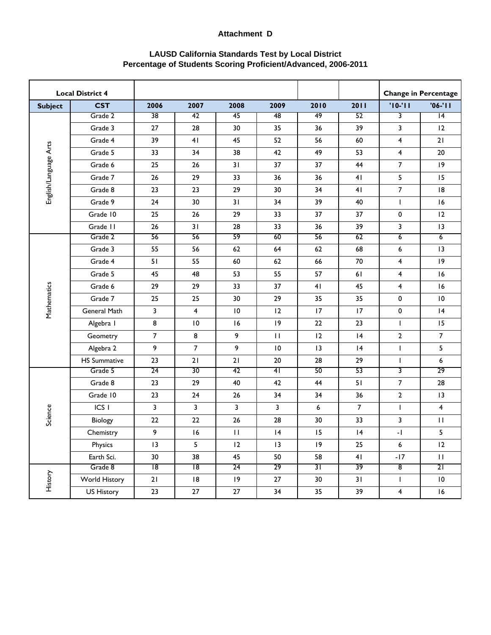| <b>Local District 4</b> |                     |                 |      |                 |                         |      |                |                         | <b>Change in Percentage</b> |
|-------------------------|---------------------|-----------------|------|-----------------|-------------------------|------|----------------|-------------------------|-----------------------------|
| <b>Subject</b>          | <b>CST</b>          | 2006            | 2007 | 2008            | 2009                    | 2010 | 2011           | $'10-'11$               | $'06-'11$                   |
|                         | Grade 2             | $\overline{38}$ | 42   | 45              | 48                      | 49   | 52             | 3                       | 4                           |
|                         | Grade 3             | 27              | 28   | 30              | 35                      | 36   | 39             | 3                       | 12                          |
|                         | Grade 4             | 39              | 41   | 45              | 52                      | 56   | 60             | 4                       | 21                          |
|                         | Grade 5             | 33              | 34   | 38              | 42                      | 49   | 53             | 4                       | 20                          |
| English/Language Arts   | Grade 6             | 25              | 26   | 31              | 37                      | 37   | 44             | $\boldsymbol{7}$        | $ 9\rangle$                 |
|                         | Grade 7             | 26              | 29   | 33              | 36                      | 36   | 41             | 5                       | 15                          |
|                         | Grade 8             | 23              | 23   | 29              | 30                      | 34   | 41             | $\boldsymbol{7}$        | 18                          |
|                         | Grade 9             | 24              | 30   | 31              | 34                      | 39   | 40             | $\mathsf{I}$            | 16                          |
|                         | Grade 10            | 25              | 26   | 29              | 33                      | 37   | 37             | $\pmb{0}$               | 12                          |
|                         | Grade II            | 26              | 31   | 28              | 33                      | 36   | 39             | 3                       | 3                           |
|                         | Grade 2             | 56              | 56   | 59              | 60                      | 56   | 62             | $\overline{6}$          | $\overline{6}$              |
|                         | Grade 3             | 55              | 56   | 62              | 64                      | 62   | 68             | 6                       | 13                          |
|                         | Grade 4             | 51              | 55   | 60              | 62                      | 66   | 70             | 4                       | $ 9\rangle$                 |
|                         | Grade 5             | 45              | 48   | 53              | 55                      | 57   | 61             | 4                       | 16                          |
|                         | Grade 6             | 29              | 29   | 33              | 37                      | 41   | 45             | 4                       | 16                          |
| Mathematics             | Grade 7             | 25              | 25   | 30              | 29                      | 35   | 35             | 0                       | $\overline{10}$             |
|                         | General Math        | 3               | 4    | $\overline{10}$ | 12                      | 17   | 17             | $\pmb{0}$               | 4                           |
|                         | Algebra I           | 8               | 10   | 16              | 9                       | 22   | 23             | I                       | 15                          |
|                         | Geometry            | $\overline{7}$  | 8    | 9               | $\mathbf{H}$            | 12   | 4              | $\mathbf{2}$            | $\overline{7}$              |
|                         | Algebra 2           | 9               | 7    | 9               | $\overline{10}$         | 3    | 4              | $\mathbf{I}$            | 5                           |
|                         | <b>HS Summative</b> | 23              | 21   | 21              | 20                      | 28   | 29             | $\mathsf{I}$            | 6                           |
|                         | Grade 5             | 24              | 30   | 42              | 41                      | 50   | 53             | 3                       | 29                          |
|                         | Grade 8             | 23              | 29   | 40              | 42                      | 44   | 51             | $\overline{7}$          | 28                          |
|                         | Grade 10            | 23              | 24   | 26              | 34                      | 34   | 36             | $\mathbf{2}$            | 3                           |
|                         | ICS <sub>I</sub>    | 3               | 3    | 3               | $\overline{\mathbf{3}}$ | 6    | $\overline{7}$ | $\mathsf{I}$            | 4                           |
| Science                 | Biology             | 22              | 22   | 26              | 28                      | 30   | 33             | 3                       | $\mathbf{H}$                |
|                         | Chemistry           | 9               | 16   | $\mathbf{H}$    | 4                       | 15   | 4              | $\mathbf{-}$ [          | 5                           |
|                         | Physics             | 13              | 5    | 12              | 13                      | 9    | 25             | $\boldsymbol{6}$        | 12                          |
|                         | Earth Sci.          | 30              | 38   | 45              | 50                      | 58   | 41             | $-17$                   | $\mathbf{H}$                |
|                         | Grade 8             | 18              | 18   | 24              | 29                      | 31   | 39             | $\overline{\mathbf{8}}$ | 21                          |
| History                 | World History       | 21              | 18   | $ 9\rangle$     | 27                      | 30   | 31             | L                       | $\overline{10}$             |
|                         | <b>US History</b>   | 23              | 27   | 27              | 34                      | 35   | 39             | $\overline{\mathbf{4}}$ | 16                          |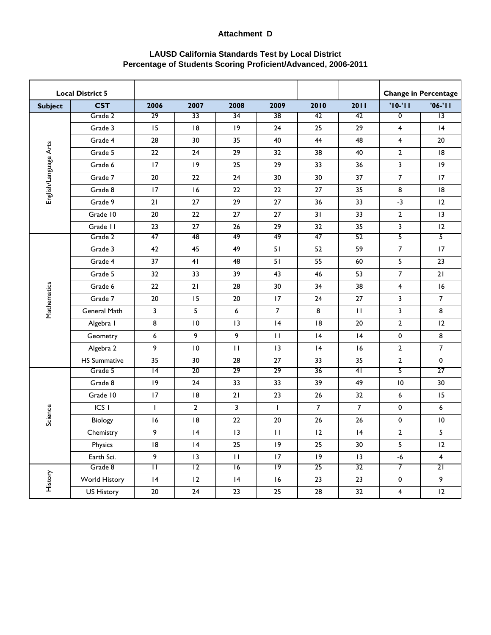| <b>Local District 5</b> |                     |                 |                 |              |                 |                |                 |                           | <b>Change in Percentage</b> |
|-------------------------|---------------------|-----------------|-----------------|--------------|-----------------|----------------|-----------------|---------------------------|-----------------------------|
| <b>Subject</b>          | <b>CST</b>          | 2006            | 2007            | 2008         | 2009            | 2010           | 2011            | $'10-'11$                 | $'06-'11$                   |
|                         | Grade 2             | $\overline{29}$ | $\overline{33}$ | 34           | $\overline{38}$ | 42             | 42              | $\overline{\mathfrak{o}}$ | $\overline{13}$             |
|                         | Grade 3             | 15              | 8               | 9            | 24              | 25             | 29              | 4                         | 4                           |
|                         | Grade 4             | 28              | 30              | 35           | 40              | 44             | 48              | 4                         | 20                          |
| English/Language Arts   | Grade 5             | 22              | 24              | 29           | 32              | 38             | 40              | $\overline{2}$            | 18                          |
|                         | Grade 6             | 17              | 9               | 25           | 29              | 33             | 36              | 3                         | $ 9\rangle$                 |
|                         | Grade 7             | 20              | 22              | 24           | 30              | 30             | 37              | $\overline{7}$            | 17                          |
|                         | Grade 8             | 17              | 16              | 22           | 22              | 27             | 35              | 8                         | 18                          |
|                         | Grade 9             | 21              | 27              | 29           | 27              | 36             | 33              | $-3$                      | 12                          |
|                         | Grade 10            | 20              | 22              | 27           | 27              | 31             | 33              | $\mathbf{2}$              | 3                           |
|                         | Grade II            | 23              | 27              | 26           | 29              | 32             | 35              | 3                         | 12                          |
|                         | Grade 2             | 47              | 48              | 49           | 49              | 47             | 52              | 5                         | 5                           |
|                         | Grade 3             | 42              | 45              | 49           | 51              | 52             | 59              | $\overline{7}$            | 17                          |
|                         | Grade 4             | 37              | 41              | 48           | 51              | 55             | 60              | 5                         | 23                          |
|                         | Grade 5             | 32              | 33              | 39           | 43              | 46             | 53              | $\overline{7}$            | 21                          |
|                         | Grade 6             | 22              | 21              | 28           | 30              | 34             | 38              | 4                         | 16                          |
| Mathematics             | Grade 7             | 20              | 15              | 20           | 17              | 24             | 27              | 3                         | $\overline{7}$              |
|                         | General Math        | 3               | 5               | 6            | $\overline{7}$  | 8              | $\mathbf{H}$    | 3                         | 8                           |
|                         | Algebra I           | 8               | 10              | 13           | 4               | 18             | 20              | $\mathbf{2}$              | 12                          |
|                         | Geometry            | 6               | 9               | 9            | $\mathbf{H}$    | 4              | 4               | 0                         | 8                           |
|                         | Algebra 2           | 9               | 10              | $\mathbf{H}$ | 13              | 4              | 16              | $\overline{2}$            | $\overline{7}$              |
|                         | <b>HS Summative</b> | 35              | 30              | 28           | 27              | 33             | 35              | $\mathbf{2}$              | 0                           |
|                         | Grade 5             | 14              | 20              | 29           | 29              | 36             | 41              | 5                         | 27                          |
|                         | Grade 8             | 9               | 24              | 33           | 33              | 39             | 49              | $\overline{10}$           | 30                          |
|                         | Grade 10            | 17              | 8               | 21           | 23              | 26             | 32              | 6                         | 15                          |
|                         | ICS <sub>I</sub>    | $\mathbf{I}$    | $\overline{2}$  | 3            | $\mathsf{I}$    | $\overline{7}$ | $\overline{7}$  | $\pmb{0}$                 | 6                           |
| Science                 | Biology             | 16              | 8               | 22           | 20              | 26             | 26              | $\pmb{0}$                 | $\overline{10}$             |
|                         | Chemistry           | 9               | 4               | 13           | $\mathbf{H}$    | 12             | 4               | $\mathbf{2}$              | 5                           |
|                         | Physics             | 8               | 4               | 25           | $ 9\rangle$     | 25             | 30 <sub>o</sub> | 5                         | 12                          |
|                         | Earth Sci.          | 9               | $ 3\rangle$     | $\mathbf{H}$ | 17              | $ 9\rangle$    | 13              | $-6$                      | $\overline{\mathbf{4}}$     |
|                         | Grade 8             | Π               | $\overline{12}$ | 16           | 19              | 25             | 32              | 7                         | 21                          |
| History                 | World History       | 4               | 12              | 4            | 16              | 23             | 23              | $\pmb{0}$                 | 9                           |
|                         | <b>US History</b>   | $20\,$          | 24              | 23           | 25              | 28             | 32              | $\overline{\mathbf{4}}$   | 12                          |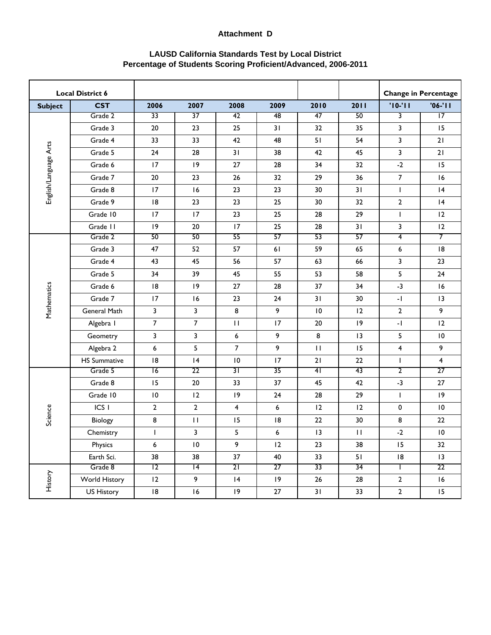| <b>Local District 6</b> |                     |                 |                 |                |             |                 |              |                          | <b>Change in Percentage</b> |
|-------------------------|---------------------|-----------------|-----------------|----------------|-------------|-----------------|--------------|--------------------------|-----------------------------|
| <b>Subject</b>          | <b>CST</b>          | 2006            | 2007            | 2008           | 2009        | 2010            | 2011         | $'10-'11$                | $'06-'11$                   |
|                         | Grade 2             | $\overline{33}$ | $\overline{37}$ | 42             | 48          | 47              | 50           | $\overline{\mathbf{3}}$  | $\overline{17}$             |
|                         | Grade 3             | 20              | 23              | 25             | 31          | 32              | 35           | 3                        | 15                          |
|                         | Grade 4             | 33              | 33              | 42             | 48          | 51              | 54           | 3                        | 21                          |
| English/Language Arts   | Grade 5             | 24              | 28              | 31             | 38          | 42              | 45           | 3                        | 21                          |
|                         | Grade 6             | 17              | 9               | 27             | 28          | 34              | 32           | $-2$                     | 15                          |
|                         | Grade 7             | 20              | 23              | 26             | 32          | 29              | 36           | $\overline{7}$           | 16                          |
|                         | Grade 8             | 17              | 16              | 23             | 23          | 30              | 31           | $\mathsf{I}$             | 4                           |
|                         | Grade 9             | 8               | 23              | 23             | 25          | 30              | 32           | $\mathbf{2}$             | 4                           |
|                         | Grade 10            | 17              | 17              | 23             | 25          | 28              | 29           | $\mathsf{I}$             | 12                          |
|                         | Grade II            | 9               | 20              | 17             | 25          | 28              | 31           | 3                        | 12                          |
|                         | Grade 2             | 50              | 50              | 55             | 57          | 53              | 57           | $\overline{4}$           | 7                           |
|                         | Grade 3             | 47              | 52              | 57             | 61          | 59              | 65           | 6                        | 18                          |
|                         | Grade 4             | 43              | 45              | 56             | 57          | 63              | 66           | 3                        | 23                          |
|                         | Grade 5             | 34              | 39              | 45             | 55          | 53              | 58           | 5                        | 24                          |
|                         | Grade 6             | 8               | 9               | 27             | 28          | 37              | 34           | $-3$                     | 16                          |
| Mathematics             | Grade 7             | 17              | 16              | 23             | 24          | 31              | 30           | $\mathbf{-}$             | 3                           |
|                         | General Math        | 3               | 3               | 8              | 9           | $\overline{10}$ | 12           | $\mathbf{2}$             | 9                           |
|                         | Algebra I           | $\overline{7}$  | 7               | $\mathbf{I}$   | 17          | 20              | 9            | $\overline{\phantom{a}}$ | 12                          |
|                         | Geometry            | 3               | 3               | 6              | 9           | 8               | 3            | 5                        | $\overline{10}$             |
|                         | Algebra 2           | 6               | 5               | $\overline{7}$ | 9           | $\mathbf{H}$    | 15           | 4                        | 9                           |
|                         | <b>HS Summative</b> | 8               | 4               | 10             | 17          | 21              | 22           | $\mathsf{L}$             | 4                           |
|                         | Grade 5             | 16              | 22              | 31             | 35          | 4 <sup>1</sup>  | 43           | $\overline{2}$           | 27                          |
|                         | Grade 8             | 15              | 20              | 33             | 37          | 45              | 42           | $-3$                     | 27                          |
|                         | Grade 10            | $\,$ l $\,$     | 12              | 9              | 24          | 28              | 29           | $\mathbf{I}$             | $ 9\rangle$                 |
|                         | ICS <sub>I</sub>    | $\mathbf{2}$    | $\overline{2}$  | 4              | 6           | 12              | 12           | $\pmb{0}$                | $\overline{10}$             |
| Science                 | Biology             | 8               | $\mathbf{H}$    | 15             | 8           | 22              | 30           | 8                        | 22                          |
|                         | Chemistry           | $\mathsf{I}$    | 3               | 5              | 6           | 13              | $\mathbf{H}$ | $-2$                     | $\overline{10}$             |
|                         | Physics             | 6               | $\,$ l $\,$     | 9              | 12          | 23              | 38           | 15                       | 32                          |
|                         | Earth Sci.          | 38              | 38              | 37             | 40          | 33              | 51           | 8                        | 13                          |
|                         | Grade 8             | $\overline{12}$ | 14              | 21             | 27          | 33              | 34           | I.                       | 22                          |
| History                 | World History       | 12              | 9               | 4              | $ 9\rangle$ | 26              | 28           | $\mathbf{2}$             | 16                          |
|                         | <b>US History</b>   | 8               | 16              | $ 9\rangle$    | 27          | 31              | 33           | $\mathbf{2}$             | 15                          |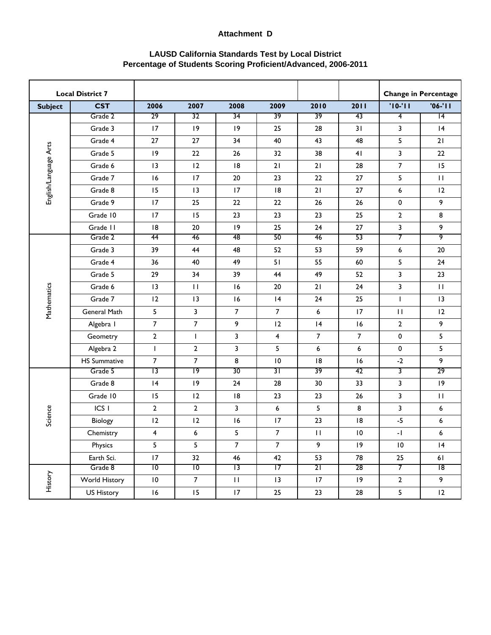| <b>Local District 7</b> |                     |                 |                |                 |                |                |                |                  | <b>Change in Percentage</b> |
|-------------------------|---------------------|-----------------|----------------|-----------------|----------------|----------------|----------------|------------------|-----------------------------|
| <b>Subject</b>          | <b>CST</b>          | 2006            | 2007           | 2008            | 2009           | 2010           | 2011           | $'10-'11$        | $'06-'11$                   |
|                         | Grade 2             | 29              | 32             | 34              | 39             | 39             | 43             | $\overline{4}$   | $\overline{14}$             |
|                         | Grade 3             | 17              | 9              | 9               | 25             | 28             | 31             | 3                | 4                           |
|                         | Grade 4             | 27              | 27             | 34              | 40             | 43             | 48             | 5                | 21                          |
| English/Language Arts   | Grade 5             | 9               | 22             | 26              | 32             | 38             | 41             | 3                | 22                          |
|                         | Grade 6             | 13              | 12             | 18              | 21             | 21             | 28             | $\boldsymbol{7}$ | 15                          |
|                         | Grade 7             | 16              | 17             | 20              | 23             | 22             | 27             | 5                | $\mathbf{H}$                |
|                         | Grade 8             | 15              | 13             | 17              | 8              | 21             | 27             | 6                | 12                          |
|                         | Grade 9             | 17              | 25             | 22              | 22             | 26             | 26             | $\pmb{0}$        | 9                           |
|                         | Grade 10            | 17              | 15             | 23              | 23             | 23             | 25             | $\mathbf{2}$     | 8                           |
|                         | Grade II            | 8               | 20             | 9               | 25             | 24             | 27             | 3                | 9                           |
|                         | Grade 2             | 44              | 46             | 48              | 50             | 46             | 53             | 7                | 9                           |
|                         | Grade 3             | 39              | 44             | 48              | 52             | 53             | 59             | 6                | 20                          |
|                         | Grade 4             | 36              | 40             | 49              | 51             | 55             | 60             | 5                | 24                          |
|                         | Grade 5             | 29              | 34             | 39              | 44             | 49             | 52             | 3                | 23                          |
|                         | Grade 6             | 3               | $\mathbf{H}$   | 16              | 20             | 21             | 24             | 3                | $\mathbf{H}$                |
|                         | Grade 7             | 12              | 13             | 16              | 4              | 24             | 25             | $\mathbf{I}$     | 3                           |
| Mathematics             | General Math        | 5               | 3              | $\overline{7}$  | $\overline{7}$ | 6              | 17             | $\mathbf{H}$     | 12                          |
|                         | Algebra I           | $\overline{7}$  | $\overline{7}$ | 9               | 12             | 4              | 16             | $\overline{2}$   | 9                           |
|                         | Geometry            | $\mathbf{2}$    | $\mathbf{I}$   | 3               | 4              | $\overline{7}$ | $\overline{7}$ | $\pmb{0}$        | 5                           |
|                         | Algebra 2           | $\mathbf{I}$    | $\mathbf{2}$   | 3               | 5              | 6              | 6              | $\pmb{0}$        | 5                           |
|                         | <b>HS Summative</b> | $\overline{7}$  | $\overline{7}$ | 8               | $\mathsf{I0}$  | 8              | 16             | $-2$             | 9                           |
|                         | Grade 5             | 13              | 19             | 30              | 31             | 39             | 42             | 3                | 29                          |
|                         | Grade 8             | 4               | 9              | 24              | 28             | 30             | 33             | 3                | $ 9\rangle$                 |
|                         | Grade 10            | 15              | 12             | 8               | 23             | 23             | 26             | 3                | $\mathbf{H}$                |
|                         | ICS <sub>I</sub>    | $\overline{2}$  | $\overline{2}$ | 3               | 6              | 5              | 8              | 3                | 6                           |
| Science                 | Biology             | 12              | 12             | 16              | 17             | 23             | 18             | $-5$             | 6                           |
|                         | Chemistry           | 4               | 6              | 5               | $\overline{7}$ | $\mathbf{H}$   | 10             | $\mathbf{-}1$    | 6                           |
|                         | Physics             | 5               | 5              | $\overline{7}$  | $\overline{7}$ | 9              | 9              | $\overline{10}$  | 4                           |
|                         | Earth Sci.          | 17              | 32             | 46              | 42             | 53             | 78             | 25               | 61                          |
|                         | Grade 8             | 10              | 10             | $\overline{13}$ | 17             | 21             | 28             | $\overline{7}$   | 18                          |
| History                 | World History       | $\overline{10}$ | $\overline{7}$ | $\mathbf{H}$    | 13             | 17             | $ 9\rangle$    | $\overline{2}$   | 9                           |
|                         | US History          | 16              | 15             | 17              | 25             | 23             | 28             | $5\phantom{a}$   | 12                          |